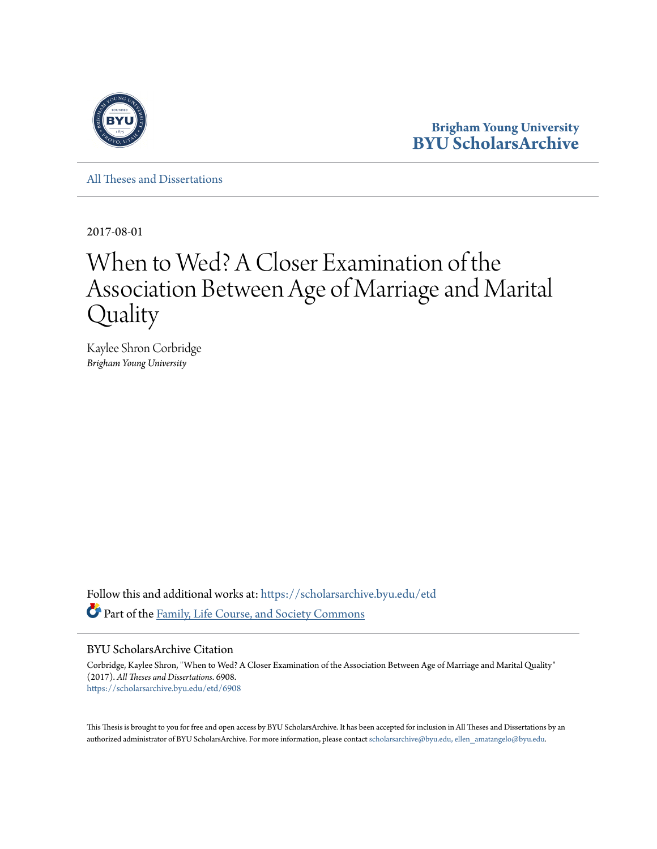

**Brigham Young University [BYU ScholarsArchive](https://scholarsarchive.byu.edu?utm_source=scholarsarchive.byu.edu%2Fetd%2F6908&utm_medium=PDF&utm_campaign=PDFCoverPages)**

[All Theses and Dissertations](https://scholarsarchive.byu.edu/etd?utm_source=scholarsarchive.byu.edu%2Fetd%2F6908&utm_medium=PDF&utm_campaign=PDFCoverPages)

2017-08-01

# When to Wed? A Closer Examination of the Association Between Age of Marriage and Marital Quality

Kaylee Shron Corbridge *Brigham Young University*

Follow this and additional works at: [https://scholarsarchive.byu.edu/etd](https://scholarsarchive.byu.edu/etd?utm_source=scholarsarchive.byu.edu%2Fetd%2F6908&utm_medium=PDF&utm_campaign=PDFCoverPages) Part of the [Family, Life Course, and Society Commons](http://network.bepress.com/hgg/discipline/419?utm_source=scholarsarchive.byu.edu%2Fetd%2F6908&utm_medium=PDF&utm_campaign=PDFCoverPages)

#### BYU ScholarsArchive Citation

Corbridge, Kaylee Shron, "When to Wed? A Closer Examination of the Association Between Age of Marriage and Marital Quality" (2017). *All Theses and Dissertations*. 6908. [https://scholarsarchive.byu.edu/etd/6908](https://scholarsarchive.byu.edu/etd/6908?utm_source=scholarsarchive.byu.edu%2Fetd%2F6908&utm_medium=PDF&utm_campaign=PDFCoverPages)

This Thesis is brought to you for free and open access by BYU ScholarsArchive. It has been accepted for inclusion in All Theses and Dissertations by an authorized administrator of BYU ScholarsArchive. For more information, please contact [scholarsarchive@byu.edu, ellen\\_amatangelo@byu.edu.](mailto:scholarsarchive@byu.edu,%20ellen_amatangelo@byu.edu)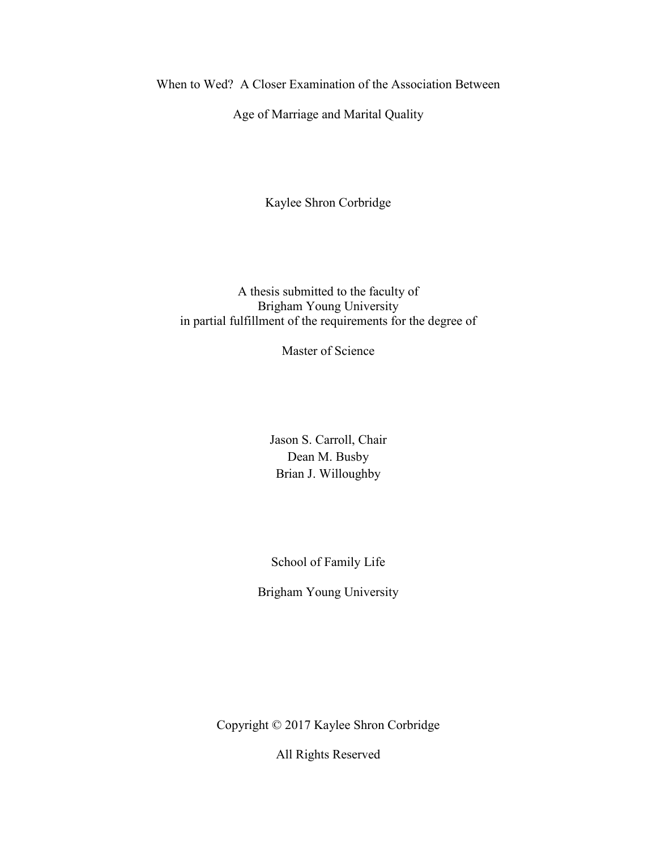When to Wed? A Closer Examination of the Association Between

Age of Marriage and Marital Quality

Kaylee Shron Corbridge

A thesis submitted to the faculty of Brigham Young University in partial fulfillment of the requirements for the degree of

Master of Science

Jason S. Carroll, Chair Dean M. Busby Brian J. Willoughby

School of Family Life

Brigham Young University

Copyright © 2017 Kaylee Shron Corbridge

All Rights Reserved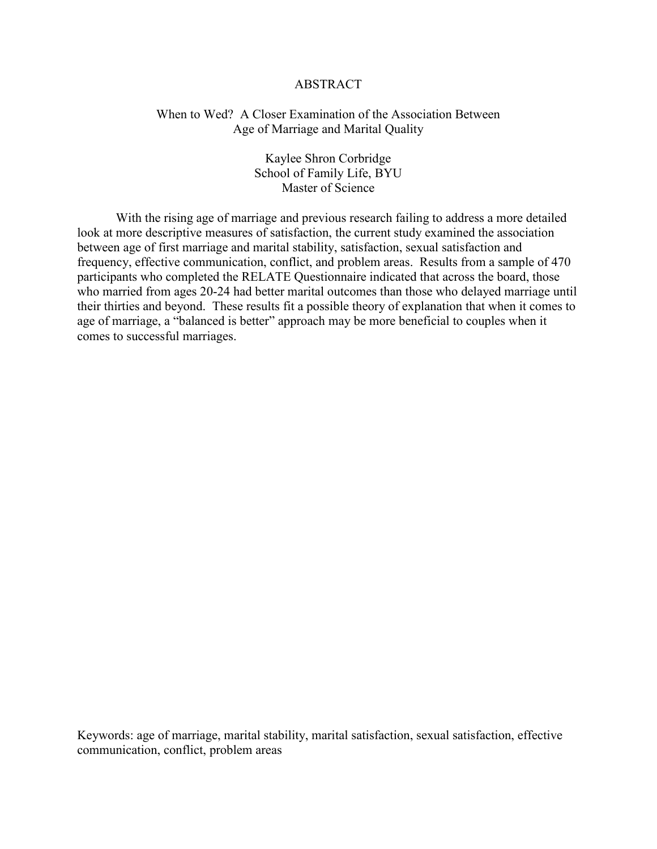## ABSTRACT

# <span id="page-2-0"></span>When to Wed? A Closer Examination of the Association Between Age of Marriage and Marital Quality

Kaylee Shron Corbridge School of Family Life, BYU Master of Science

With the rising age of marriage and previous research failing to address a more detailed look at more descriptive measures of satisfaction, the current study examined the association between age of first marriage and marital stability, satisfaction, sexual satisfaction and frequency, effective communication, conflict, and problem areas. Results from a sample of 470 participants who completed the RELATE Questionnaire indicated that across the board, those who married from ages 20-24 had better marital outcomes than those who delayed marriage until their thirties and beyond. These results fit a possible theory of explanation that when it comes to age of marriage, a "balanced is better" approach may be more beneficial to couples when it comes to successful marriages.

Keywords: age of marriage, marital stability, marital satisfaction, sexual satisfaction, effective communication, conflict, problem areas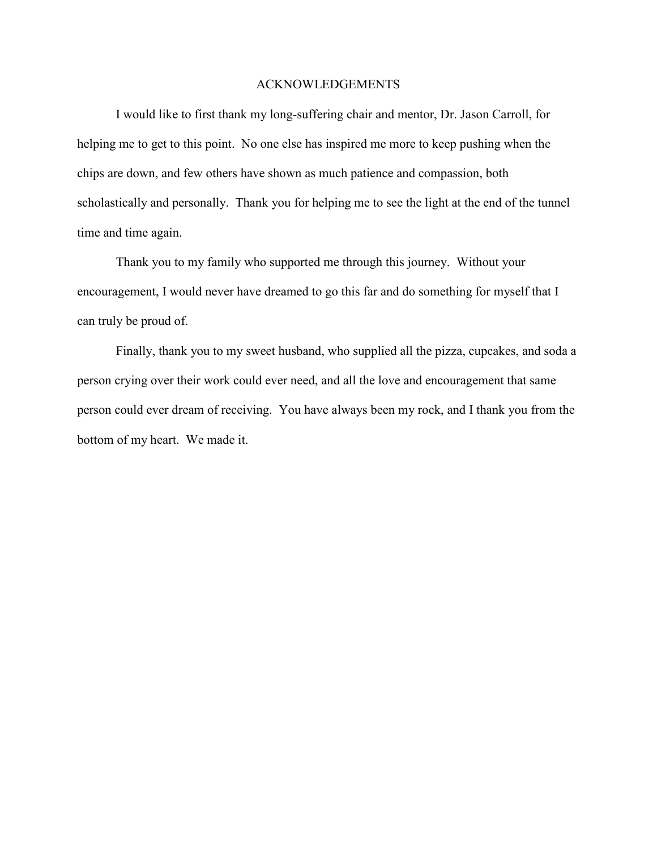# ACKNOWLEDGEMENTS

<span id="page-3-0"></span>I would like to first thank my long-suffering chair and mentor, Dr. Jason Carroll, for helping me to get to this point. No one else has inspired me more to keep pushing when the chips are down, and few others have shown as much patience and compassion, both scholastically and personally. Thank you for helping me to see the light at the end of the tunnel time and time again.

Thank you to my family who supported me through this journey. Without your encouragement, I would never have dreamed to go this far and do something for myself that I can truly be proud of.

Finally, thank you to my sweet husband, who supplied all the pizza, cupcakes, and soda a person crying over their work could ever need, and all the love and encouragement that same person could ever dream of receiving. You have always been my rock, and I thank you from the bottom of my heart. We made it.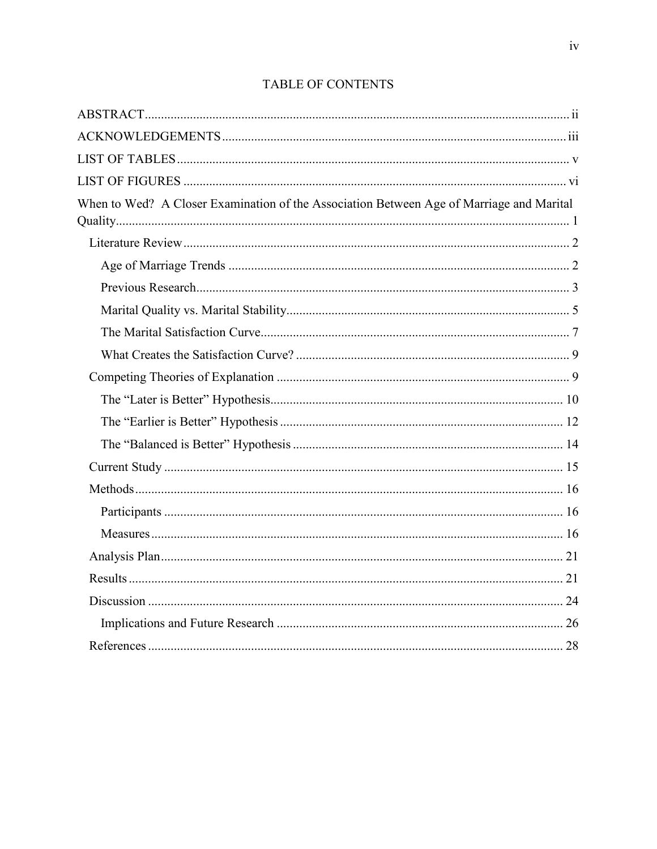# **TABLE OF CONTENTS**

| When to Wed? A Closer Examination of the Association Between Age of Marriage and Marital |  |
|------------------------------------------------------------------------------------------|--|
|                                                                                          |  |
|                                                                                          |  |
|                                                                                          |  |
|                                                                                          |  |
|                                                                                          |  |
|                                                                                          |  |
|                                                                                          |  |
|                                                                                          |  |
|                                                                                          |  |
|                                                                                          |  |
|                                                                                          |  |
|                                                                                          |  |
|                                                                                          |  |
|                                                                                          |  |
|                                                                                          |  |
|                                                                                          |  |
|                                                                                          |  |
|                                                                                          |  |
|                                                                                          |  |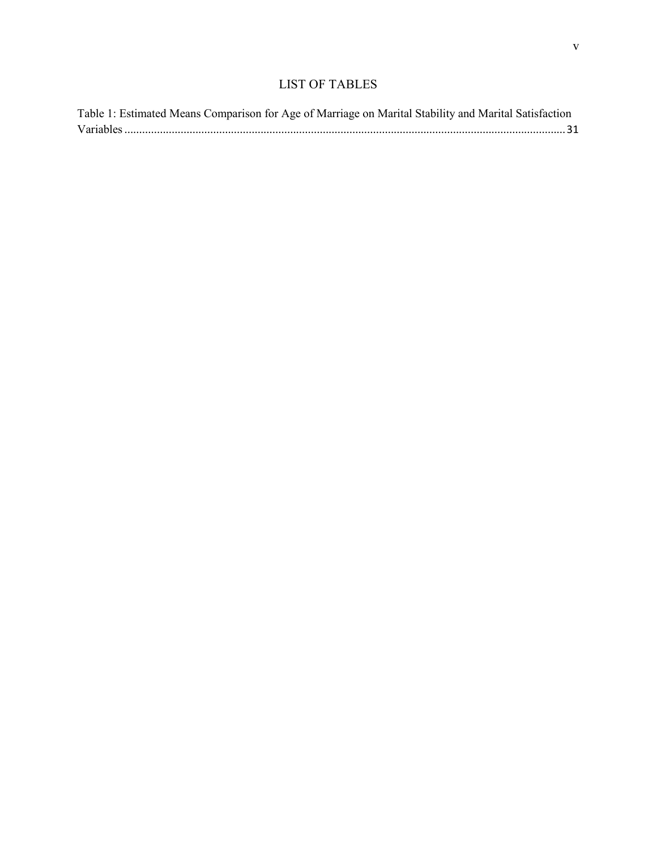# LIST OF TABLES

<span id="page-5-0"></span>

| Table 1: Estimated Means Comparison for Age of Marriage on Marital Stability and Marital Satisfaction |  |
|-------------------------------------------------------------------------------------------------------|--|
|                                                                                                       |  |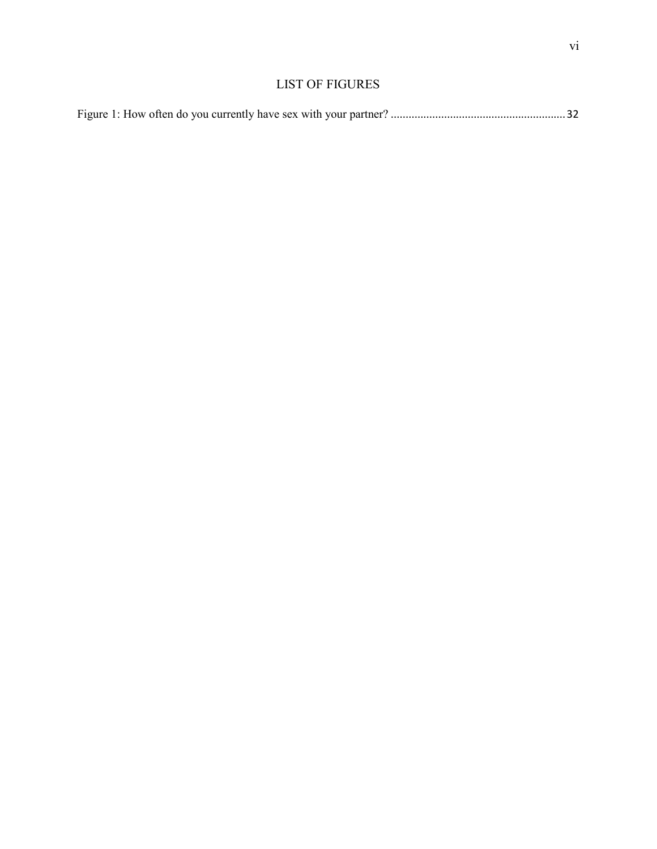# LIST OF FIGURES

<span id="page-6-0"></span>

|--|--|--|--|--|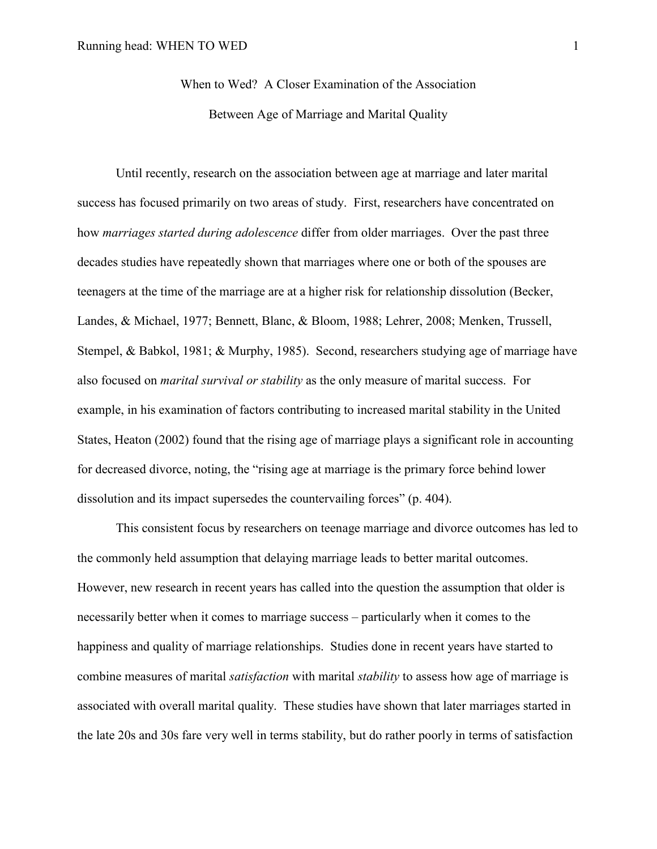When to Wed? A Closer Examination of the Association Between Age of Marriage and Marital Quality

<span id="page-7-0"></span>Until recently, research on the association between age at marriage and later marital success has focused primarily on two areas of study. First, researchers have concentrated on how *marriages started during adolescence* differ from older marriages. Over the past three decades studies have repeatedly shown that marriages where one or both of the spouses are teenagers at the time of the marriage are at a higher risk for relationship dissolution (Becker, Landes, & Michael, 1977; Bennett, Blanc, & Bloom, 1988; Lehrer, 2008; Menken, Trussell, Stempel, & Babkol, 1981; & Murphy, 1985). Second, researchers studying age of marriage have also focused on *marital survival or stability* as the only measure of marital success. For example, in his examination of factors contributing to increased marital stability in the United States, Heaton (2002) found that the rising age of marriage plays a significant role in accounting for decreased divorce, noting, the "rising age at marriage is the primary force behind lower dissolution and its impact supersedes the countervailing forces" (p. 404).

This consistent focus by researchers on teenage marriage and divorce outcomes has led to the commonly held assumption that delaying marriage leads to better marital outcomes. However, new research in recent years has called into the question the assumption that older is necessarily better when it comes to marriage success – particularly when it comes to the happiness and quality of marriage relationships. Studies done in recent years have started to combine measures of marital *satisfaction* with marital *stability* to assess how age of marriage is associated with overall marital quality. These studies have shown that later marriages started in the late 20s and 30s fare very well in terms stability, but do rather poorly in terms of satisfaction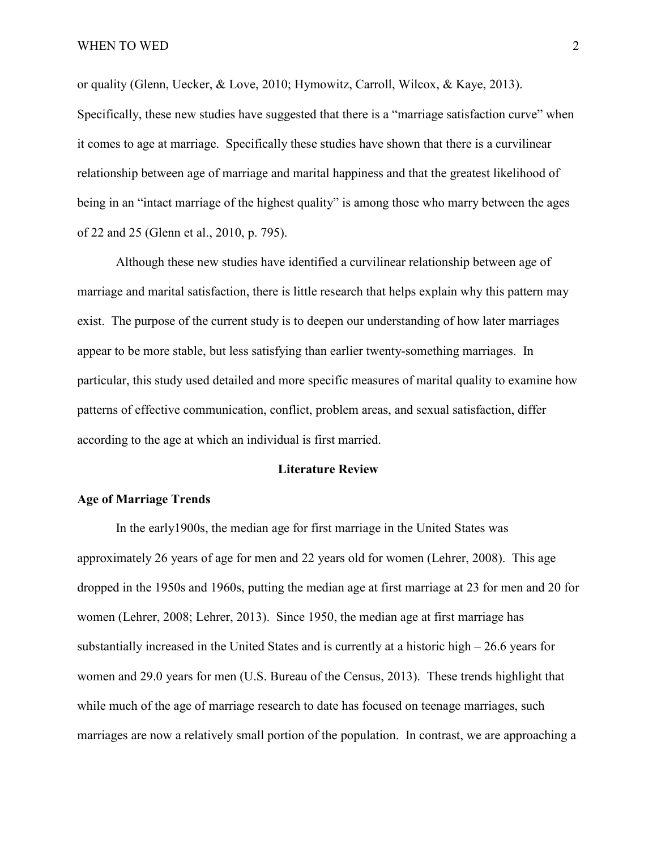or quality (Glenn, Uecker, & Love, 2010; Hymowitz, Carroll, Wilcox, & Kaye, 2013). Specifically, these new studies have suggested that there is a "marriage satisfaction curve" when it comes to age at marriage. Specifically these studies have shown that there is a curvilinear relationship between age of marriage and marital happiness and that the greatest likelihood of being in an "intact marriage of the highest quality" is among those who marry between the ages of 22 and 25 (Glenn et al., 2010, p. 795).

Although these new studies have identified a curvilinear relationship between age of marriage and marital satisfaction, there is little research that helps explain why this pattern may exist. The purpose of the current study is to deepen our understanding of how later marriages appear to be more stable, but less satisfying than earlier twenty-something marriages. In particular, this study used detailed and more specific measures of marital quality to examine how patterns of effective communication, conflict, problem areas, and sexual satisfaction, differ according to the age at which an individual is first married.

#### **Literature Review**

# <span id="page-8-1"></span><span id="page-8-0"></span>**Age of Marriage Trends**

In the early1900s, the median age for first marriage in the United States was approximately 26 years of age for men and 22 years old for women (Lehrer, 2008). This age dropped in the 1950s and 1960s, putting the median age at first marriage at 23 for men and 20 for women (Lehrer, 2008; Lehrer, 2013). Since 1950, the median age at first marriage has substantially increased in the United States and is currently at a historic high – 26.6 years for women and 29.0 years for men (U.S. Bureau of the Census, 2013). These trends highlight that while much of the age of marriage research to date has focused on teenage marriages, such marriages are now a relatively small portion of the population. In contrast, we are approaching a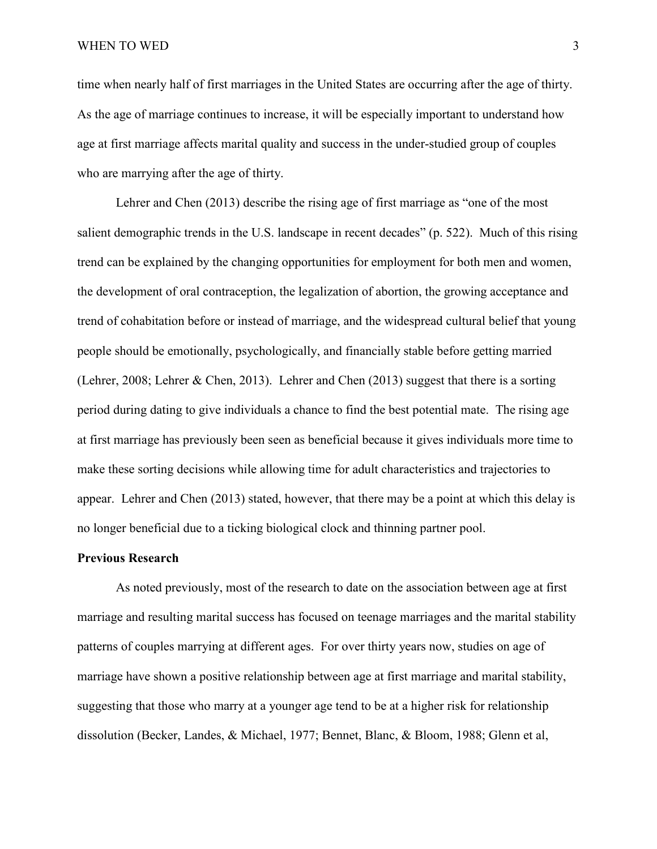WHEN TO WED 3

time when nearly half of first marriages in the United States are occurring after the age of thirty. As the age of marriage continues to increase, it will be especially important to understand how age at first marriage affects marital quality and success in the under-studied group of couples who are marrying after the age of thirty.

Lehrer and Chen (2013) describe the rising age of first marriage as "one of the most salient demographic trends in the U.S. landscape in recent decades" (p. 522). Much of this rising trend can be explained by the changing opportunities for employment for both men and women, the development of oral contraception, the legalization of abortion, the growing acceptance and trend of cohabitation before or instead of marriage, and the widespread cultural belief that young people should be emotionally, psychologically, and financially stable before getting married (Lehrer, 2008; Lehrer & Chen, 2013). Lehrer and Chen (2013) suggest that there is a sorting period during dating to give individuals a chance to find the best potential mate. The rising age at first marriage has previously been seen as beneficial because it gives individuals more time to make these sorting decisions while allowing time for adult characteristics and trajectories to appear. Lehrer and Chen (2013) stated, however, that there may be a point at which this delay is no longer beneficial due to a ticking biological clock and thinning partner pool.

## <span id="page-9-0"></span>**Previous Research**

As noted previously, most of the research to date on the association between age at first marriage and resulting marital success has focused on teenage marriages and the marital stability patterns of couples marrying at different ages. For over thirty years now, studies on age of marriage have shown a positive relationship between age at first marriage and marital stability, suggesting that those who marry at a younger age tend to be at a higher risk for relationship dissolution (Becker, Landes, & Michael, 1977; Bennet, Blanc, & Bloom, 1988; Glenn et al,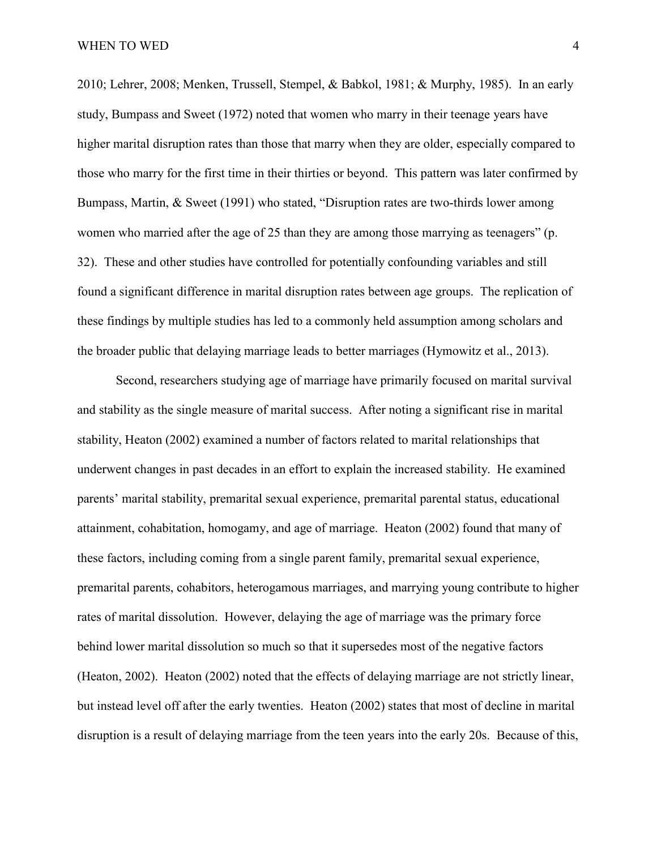2010; Lehrer, 2008; Menken, Trussell, Stempel, & Babkol, 1981; & Murphy, 1985). In an early study, Bumpass and Sweet (1972) noted that women who marry in their teenage years have higher marital disruption rates than those that marry when they are older, especially compared to those who marry for the first time in their thirties or beyond. This pattern was later confirmed by Bumpass, Martin, & Sweet (1991) who stated, "Disruption rates are two-thirds lower among women who married after the age of 25 than they are among those marrying as teenagers" (p. 32). These and other studies have controlled for potentially confounding variables and still found a significant difference in marital disruption rates between age groups. The replication of these findings by multiple studies has led to a commonly held assumption among scholars and the broader public that delaying marriage leads to better marriages (Hymowitz et al., 2013).

Second, researchers studying age of marriage have primarily focused on marital survival and stability as the single measure of marital success. After noting a significant rise in marital stability, Heaton (2002) examined a number of factors related to marital relationships that underwent changes in past decades in an effort to explain the increased stability. He examined parents' marital stability, premarital sexual experience, premarital parental status, educational attainment, cohabitation, homogamy, and age of marriage. Heaton (2002) found that many of these factors, including coming from a single parent family, premarital sexual experience, premarital parents, cohabitors, heterogamous marriages, and marrying young contribute to higher rates of marital dissolution. However, delaying the age of marriage was the primary force behind lower marital dissolution so much so that it supersedes most of the negative factors (Heaton, 2002). Heaton (2002) noted that the effects of delaying marriage are not strictly linear, but instead level off after the early twenties. Heaton (2002) states that most of decline in marital disruption is a result of delaying marriage from the teen years into the early 20s. Because of this,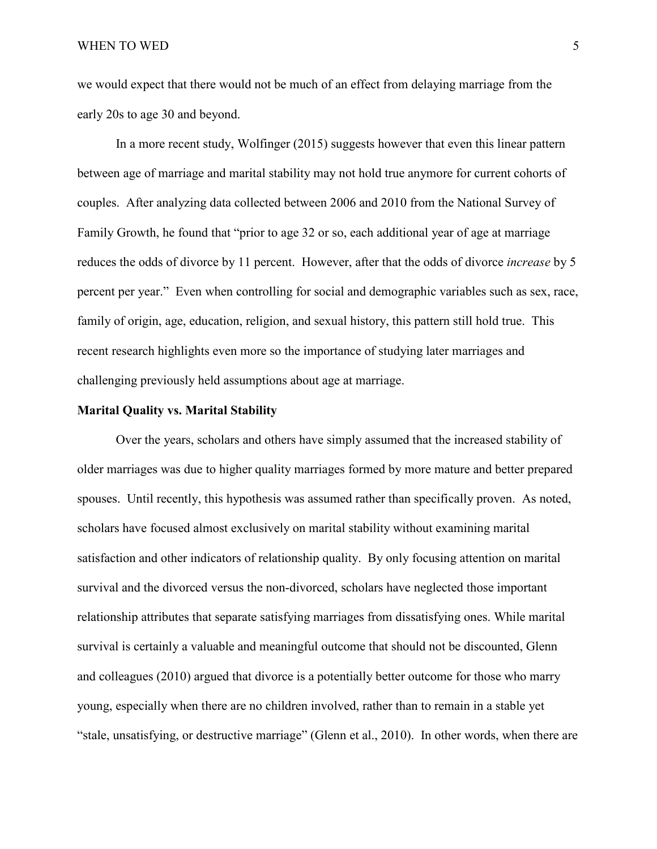we would expect that there would not be much of an effect from delaying marriage from the early 20s to age 30 and beyond.

In a more recent study, Wolfinger (2015) suggests however that even this linear pattern between age of marriage and marital stability may not hold true anymore for current cohorts of couples. After analyzing data collected between 2006 and 2010 from the National Survey of Family Growth, he found that "prior to age 32 or so, each additional year of age at marriage reduces the odds of divorce by 11 percent. However, after that the odds of divorce *increase* by 5 percent per year." Even when controlling for social and demographic variables such as sex, race, family of origin, age, education, religion, and sexual history, this pattern still hold true. This recent research highlights even more so the importance of studying later marriages and challenging previously held assumptions about age at marriage.

## <span id="page-11-0"></span>**Marital Quality vs. Marital Stability**

Over the years, scholars and others have simply assumed that the increased stability of older marriages was due to higher quality marriages formed by more mature and better prepared spouses. Until recently, this hypothesis was assumed rather than specifically proven. As noted, scholars have focused almost exclusively on marital stability without examining marital satisfaction and other indicators of relationship quality. By only focusing attention on marital survival and the divorced versus the non-divorced, scholars have neglected those important relationship attributes that separate satisfying marriages from dissatisfying ones. While marital survival is certainly a valuable and meaningful outcome that should not be discounted, Glenn and colleagues (2010) argued that divorce is a potentially better outcome for those who marry young, especially when there are no children involved, rather than to remain in a stable yet "stale, unsatisfying, or destructive marriage" (Glenn et al., 2010). In other words, when there are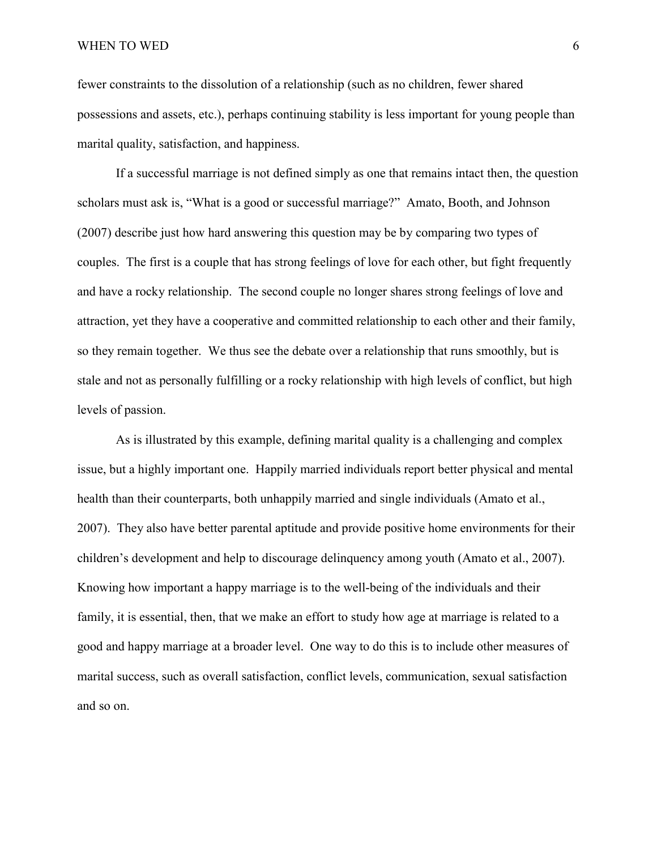fewer constraints to the dissolution of a relationship (such as no children, fewer shared possessions and assets, etc.), perhaps continuing stability is less important for young people than marital quality, satisfaction, and happiness.

If a successful marriage is not defined simply as one that remains intact then, the question scholars must ask is, "What is a good or successful marriage?" Amato, Booth, and Johnson (2007) describe just how hard answering this question may be by comparing two types of couples. The first is a couple that has strong feelings of love for each other, but fight frequently and have a rocky relationship. The second couple no longer shares strong feelings of love and attraction, yet they have a cooperative and committed relationship to each other and their family, so they remain together. We thus see the debate over a relationship that runs smoothly, but is stale and not as personally fulfilling or a rocky relationship with high levels of conflict, but high levels of passion.

As is illustrated by this example, defining marital quality is a challenging and complex issue, but a highly important one. Happily married individuals report better physical and mental health than their counterparts, both unhappily married and single individuals (Amato et al., 2007). They also have better parental aptitude and provide positive home environments for their children's development and help to discourage delinquency among youth (Amato et al., 2007). Knowing how important a happy marriage is to the well-being of the individuals and their family, it is essential, then, that we make an effort to study how age at marriage is related to a good and happy marriage at a broader level. One way to do this is to include other measures of marital success, such as overall satisfaction, conflict levels, communication, sexual satisfaction and so on.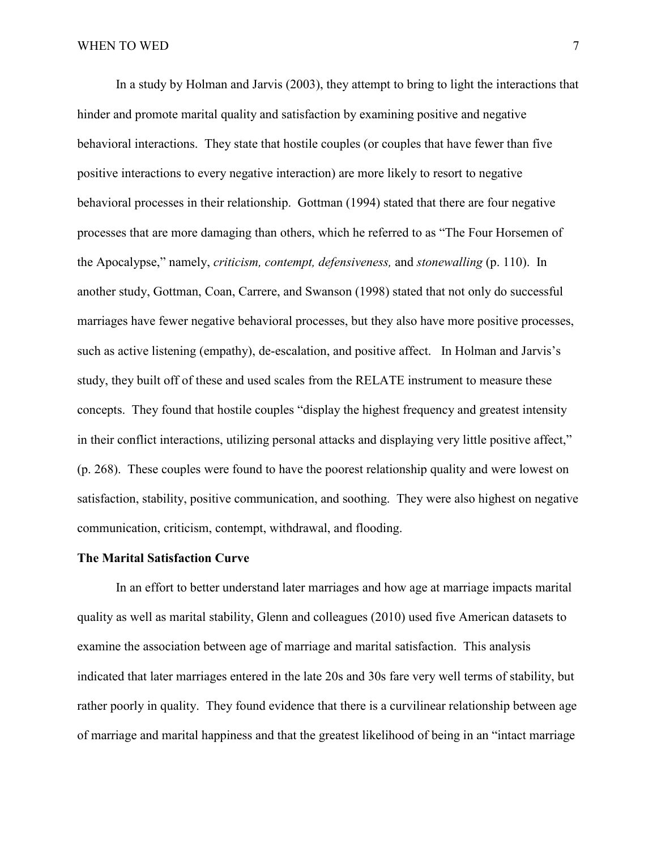In a study by Holman and Jarvis (2003), they attempt to bring to light the interactions that hinder and promote marital quality and satisfaction by examining positive and negative behavioral interactions. They state that hostile couples (or couples that have fewer than five positive interactions to every negative interaction) are more likely to resort to negative behavioral processes in their relationship. Gottman (1994) stated that there are four negative processes that are more damaging than others, which he referred to as "The Four Horsemen of the Apocalypse," namely, *criticism, contempt, defensiveness,* and *stonewalling* (p. 110). In another study, Gottman, Coan, Carrere, and Swanson (1998) stated that not only do successful marriages have fewer negative behavioral processes, but they also have more positive processes, such as active listening (empathy), de-escalation, and positive affect. In Holman and Jarvis's study, they built off of these and used scales from the RELATE instrument to measure these concepts. They found that hostile couples "display the highest frequency and greatest intensity in their conflict interactions, utilizing personal attacks and displaying very little positive affect," (p. 268). These couples were found to have the poorest relationship quality and were lowest on satisfaction, stability, positive communication, and soothing. They were also highest on negative communication, criticism, contempt, withdrawal, and flooding.

### <span id="page-13-0"></span>**The Marital Satisfaction Curve**

In an effort to better understand later marriages and how age at marriage impacts marital quality as well as marital stability, Glenn and colleagues (2010) used five American datasets to examine the association between age of marriage and marital satisfaction. This analysis indicated that later marriages entered in the late 20s and 30s fare very well terms of stability, but rather poorly in quality. They found evidence that there is a curvilinear relationship between age of marriage and marital happiness and that the greatest likelihood of being in an "intact marriage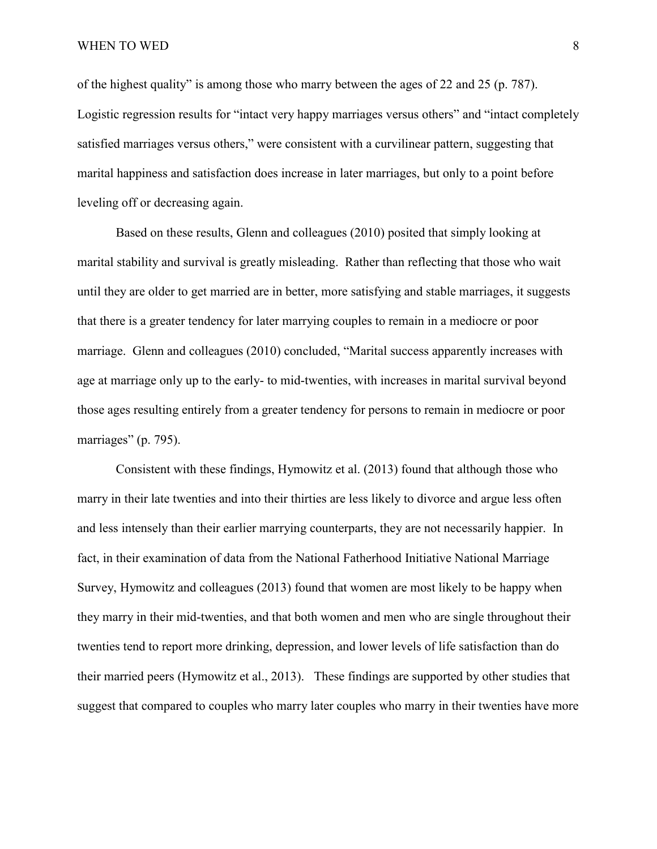of the highest quality" is among those who marry between the ages of 22 and 25 (p. 787). Logistic regression results for "intact very happy marriages versus others" and "intact completely satisfied marriages versus others," were consistent with a curvilinear pattern, suggesting that marital happiness and satisfaction does increase in later marriages, but only to a point before leveling off or decreasing again.

Based on these results, Glenn and colleagues (2010) posited that simply looking at marital stability and survival is greatly misleading. Rather than reflecting that those who wait until they are older to get married are in better, more satisfying and stable marriages, it suggests that there is a greater tendency for later marrying couples to remain in a mediocre or poor marriage. Glenn and colleagues (2010) concluded, "Marital success apparently increases with age at marriage only up to the early- to mid-twenties, with increases in marital survival beyond those ages resulting entirely from a greater tendency for persons to remain in mediocre or poor marriages" (p. 795).

Consistent with these findings, Hymowitz et al. (2013) found that although those who marry in their late twenties and into their thirties are less likely to divorce and argue less often and less intensely than their earlier marrying counterparts, they are not necessarily happier. In fact, in their examination of data from the National Fatherhood Initiative National Marriage Survey, Hymowitz and colleagues (2013) found that women are most likely to be happy when they marry in their mid-twenties, and that both women and men who are single throughout their twenties tend to report more drinking, depression, and lower levels of life satisfaction than do their married peers (Hymowitz et al., 2013). These findings are supported by other studies that suggest that compared to couples who marry later couples who marry in their twenties have more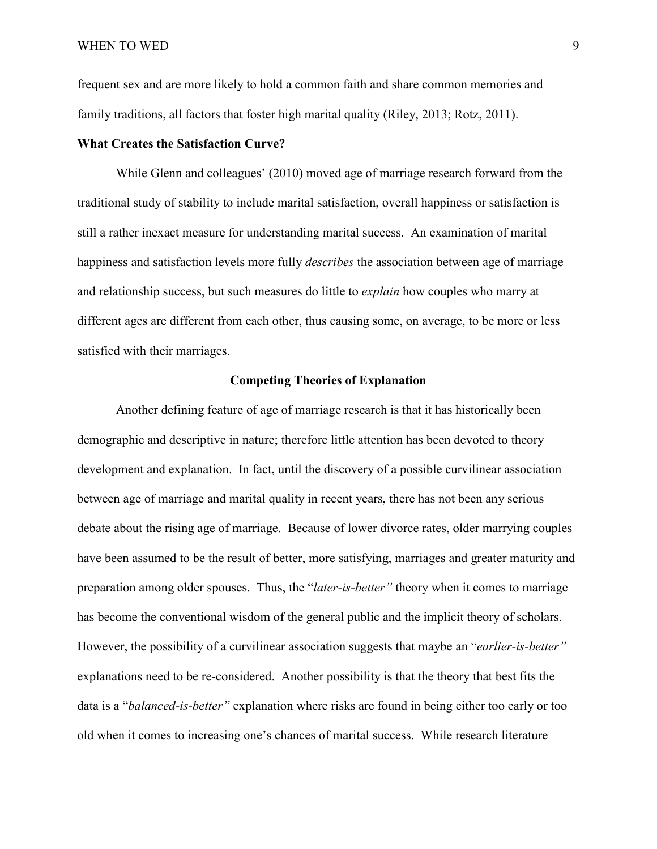frequent sex and are more likely to hold a common faith and share common memories and family traditions, all factors that foster high marital quality (Riley, 2013; Rotz, 2011).

# <span id="page-15-0"></span>**What Creates the Satisfaction Curve?**

While Glenn and colleagues' (2010) moved age of marriage research forward from the traditional study of stability to include marital satisfaction, overall happiness or satisfaction is still a rather inexact measure for understanding marital success. An examination of marital happiness and satisfaction levels more fully *describes* the association between age of marriage and relationship success, but such measures do little to *explain* how couples who marry at different ages are different from each other, thus causing some, on average, to be more or less satisfied with their marriages.

## **Competing Theories of Explanation**

<span id="page-15-1"></span>Another defining feature of age of marriage research is that it has historically been demographic and descriptive in nature; therefore little attention has been devoted to theory development and explanation. In fact, until the discovery of a possible curvilinear association between age of marriage and marital quality in recent years, there has not been any serious debate about the rising age of marriage. Because of lower divorce rates, older marrying couples have been assumed to be the result of better, more satisfying, marriages and greater maturity and preparation among older spouses. Thus, the "*later-is-better"* theory when it comes to marriage has become the conventional wisdom of the general public and the implicit theory of scholars. However, the possibility of a curvilinear association suggests that maybe an "*earlier-is-better"* explanations need to be re-considered. Another possibility is that the theory that best fits the data is a "*balanced-is-better"* explanation where risks are found in being either too early or too old when it comes to increasing one's chances of marital success. While research literature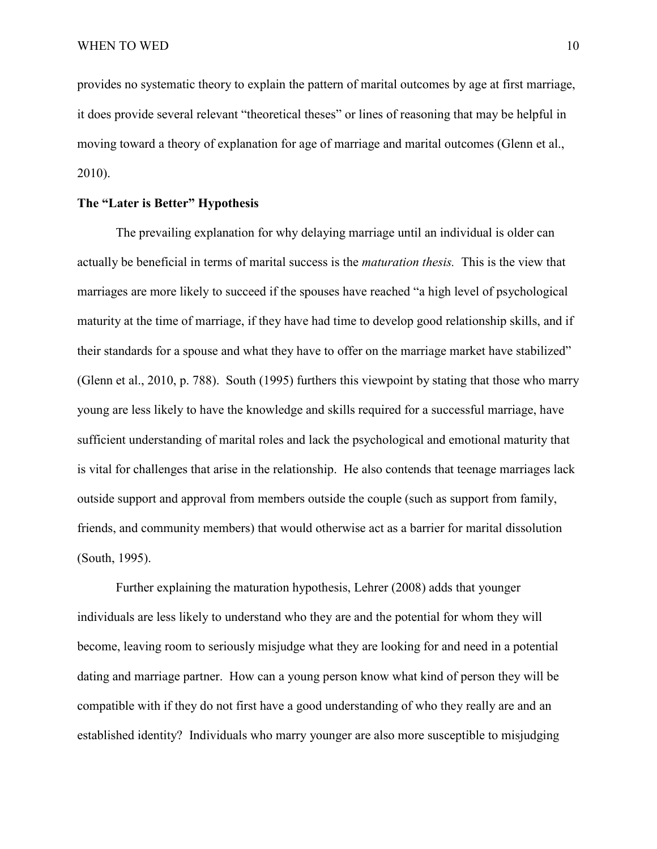provides no systematic theory to explain the pattern of marital outcomes by age at first marriage, it does provide several relevant "theoretical theses" or lines of reasoning that may be helpful in moving toward a theory of explanation for age of marriage and marital outcomes (Glenn et al., 2010).

# <span id="page-16-0"></span>**The "Later is Better" Hypothesis**

The prevailing explanation for why delaying marriage until an individual is older can actually be beneficial in terms of marital success is the *maturation thesis.* This is the view that marriages are more likely to succeed if the spouses have reached "a high level of psychological maturity at the time of marriage, if they have had time to develop good relationship skills, and if their standards for a spouse and what they have to offer on the marriage market have stabilized" (Glenn et al., 2010, p. 788). South (1995) furthers this viewpoint by stating that those who marry young are less likely to have the knowledge and skills required for a successful marriage, have sufficient understanding of marital roles and lack the psychological and emotional maturity that is vital for challenges that arise in the relationship. He also contends that teenage marriages lack outside support and approval from members outside the couple (such as support from family, friends, and community members) that would otherwise act as a barrier for marital dissolution (South, 1995).

Further explaining the maturation hypothesis, Lehrer (2008) adds that younger individuals are less likely to understand who they are and the potential for whom they will become, leaving room to seriously misjudge what they are looking for and need in a potential dating and marriage partner. How can a young person know what kind of person they will be compatible with if they do not first have a good understanding of who they really are and an established identity? Individuals who marry younger are also more susceptible to misjudging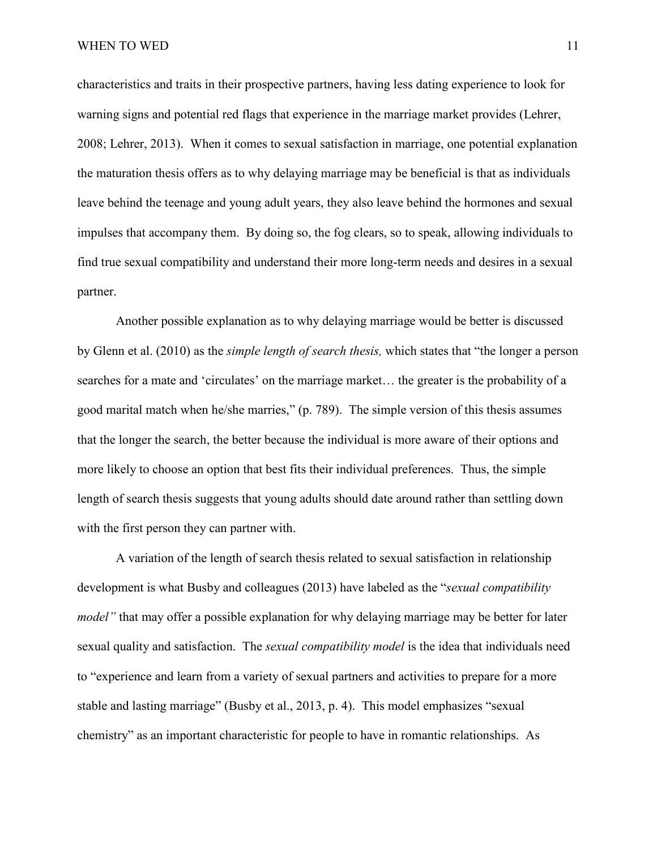characteristics and traits in their prospective partners, having less dating experience to look for warning signs and potential red flags that experience in the marriage market provides (Lehrer, 2008; Lehrer, 2013). When it comes to sexual satisfaction in marriage, one potential explanation the maturation thesis offers as to why delaying marriage may be beneficial is that as individuals leave behind the teenage and young adult years, they also leave behind the hormones and sexual impulses that accompany them. By doing so, the fog clears, so to speak, allowing individuals to find true sexual compatibility and understand their more long-term needs and desires in a sexual partner.

Another possible explanation as to why delaying marriage would be better is discussed by Glenn et al. (2010) as the *simple length of search thesis,* which states that "the longer a person searches for a mate and 'circulates' on the marriage market… the greater is the probability of a good marital match when he/she marries," (p. 789). The simple version of this thesis assumes that the longer the search, the better because the individual is more aware of their options and more likely to choose an option that best fits their individual preferences. Thus, the simple length of search thesis suggests that young adults should date around rather than settling down with the first person they can partner with.

A variation of the length of search thesis related to sexual satisfaction in relationship development is what Busby and colleagues (2013) have labeled as the "*sexual compatibility model"* that may offer a possible explanation for why delaying marriage may be better for later sexual quality and satisfaction. The *sexual compatibility model* is the idea that individuals need to "experience and learn from a variety of sexual partners and activities to prepare for a more stable and lasting marriage" (Busby et al., 2013, p. 4). This model emphasizes "sexual chemistry" as an important characteristic for people to have in romantic relationships. As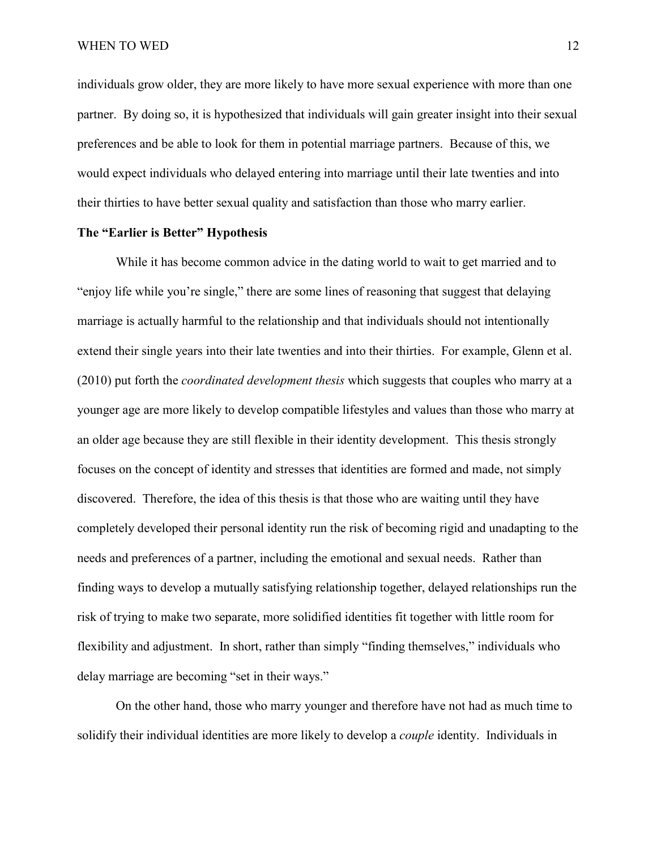individuals grow older, they are more likely to have more sexual experience with more than one partner. By doing so, it is hypothesized that individuals will gain greater insight into their sexual preferences and be able to look for them in potential marriage partners. Because of this, we would expect individuals who delayed entering into marriage until their late twenties and into their thirties to have better sexual quality and satisfaction than those who marry earlier.

## <span id="page-18-0"></span>**The "Earlier is Better" Hypothesis**

While it has become common advice in the dating world to wait to get married and to "enjoy life while you're single," there are some lines of reasoning that suggest that delaying marriage is actually harmful to the relationship and that individuals should not intentionally extend their single years into their late twenties and into their thirties. For example, Glenn et al. (2010) put forth the *coordinated development thesis* which suggests that couples who marry at a younger age are more likely to develop compatible lifestyles and values than those who marry at an older age because they are still flexible in their identity development. This thesis strongly focuses on the concept of identity and stresses that identities are formed and made, not simply discovered. Therefore, the idea of this thesis is that those who are waiting until they have completely developed their personal identity run the risk of becoming rigid and unadapting to the needs and preferences of a partner, including the emotional and sexual needs. Rather than finding ways to develop a mutually satisfying relationship together, delayed relationships run the risk of trying to make two separate, more solidified identities fit together with little room for flexibility and adjustment. In short, rather than simply "finding themselves," individuals who delay marriage are becoming "set in their ways."

On the other hand, those who marry younger and therefore have not had as much time to solidify their individual identities are more likely to develop a *couple* identity. Individuals in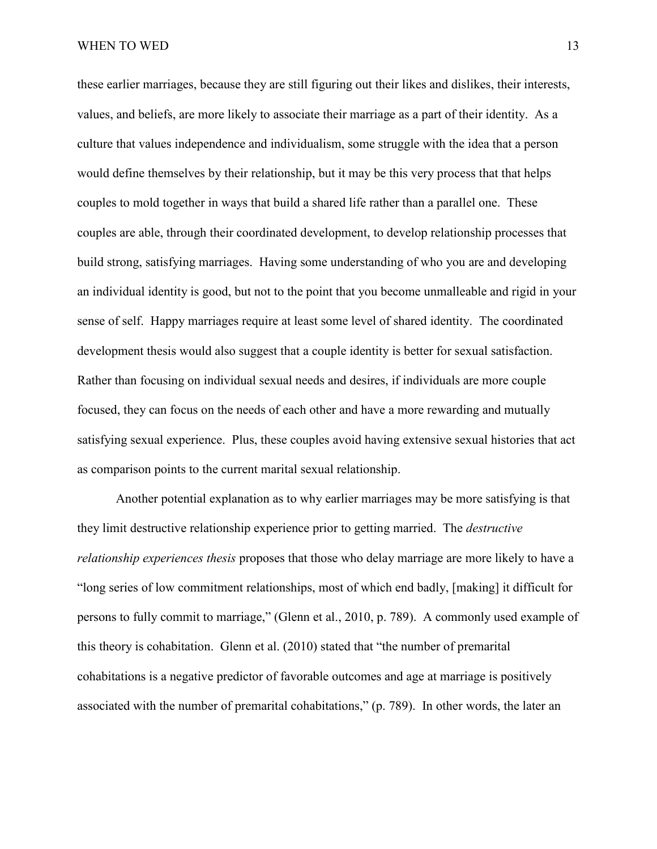these earlier marriages, because they are still figuring out their likes and dislikes, their interests, values, and beliefs, are more likely to associate their marriage as a part of their identity. As a culture that values independence and individualism, some struggle with the idea that a person would define themselves by their relationship, but it may be this very process that that helps couples to mold together in ways that build a shared life rather than a parallel one. These couples are able, through their coordinated development, to develop relationship processes that build strong, satisfying marriages. Having some understanding of who you are and developing an individual identity is good, but not to the point that you become unmalleable and rigid in your sense of self. Happy marriages require at least some level of shared identity. The coordinated development thesis would also suggest that a couple identity is better for sexual satisfaction. Rather than focusing on individual sexual needs and desires, if individuals are more couple focused, they can focus on the needs of each other and have a more rewarding and mutually satisfying sexual experience. Plus, these couples avoid having extensive sexual histories that act as comparison points to the current marital sexual relationship.

Another potential explanation as to why earlier marriages may be more satisfying is that they limit destructive relationship experience prior to getting married. The *destructive relationship experiences thesis* proposes that those who delay marriage are more likely to have a "long series of low commitment relationships, most of which end badly, [making] it difficult for persons to fully commit to marriage," (Glenn et al., 2010, p. 789). A commonly used example of this theory is cohabitation. Glenn et al. (2010) stated that "the number of premarital cohabitations is a negative predictor of favorable outcomes and age at marriage is positively associated with the number of premarital cohabitations," (p. 789). In other words, the later an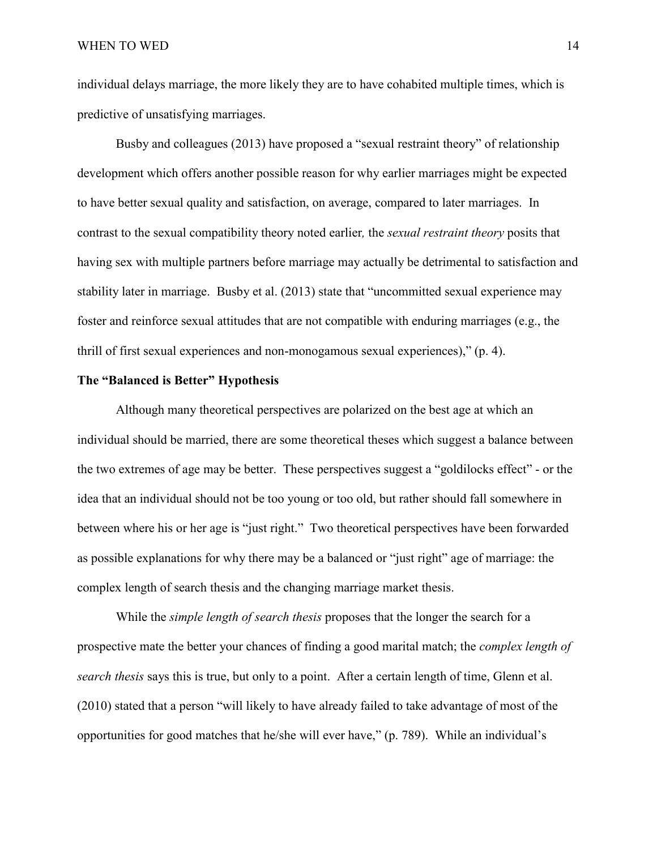individual delays marriage, the more likely they are to have cohabited multiple times, which is predictive of unsatisfying marriages.

Busby and colleagues (2013) have proposed a "sexual restraint theory" of relationship development which offers another possible reason for why earlier marriages might be expected to have better sexual quality and satisfaction, on average, compared to later marriages. In contrast to the sexual compatibility theory noted earlier*,* the *sexual restraint theory* posits that having sex with multiple partners before marriage may actually be detrimental to satisfaction and stability later in marriage. Busby et al. (2013) state that "uncommitted sexual experience may foster and reinforce sexual attitudes that are not compatible with enduring marriages (e.g., the thrill of first sexual experiences and non-monogamous sexual experiences)," (p. 4).

# <span id="page-20-0"></span>**The "Balanced is Better" Hypothesis**

Although many theoretical perspectives are polarized on the best age at which an individual should be married, there are some theoretical theses which suggest a balance between the two extremes of age may be better. These perspectives suggest a "goldilocks effect" - or the idea that an individual should not be too young or too old, but rather should fall somewhere in between where his or her age is "just right." Two theoretical perspectives have been forwarded as possible explanations for why there may be a balanced or "just right" age of marriage: the complex length of search thesis and the changing marriage market thesis.

While the *simple length of search thesis* proposes that the longer the search for a prospective mate the better your chances of finding a good marital match; the *complex length of search thesis* says this is true, but only to a point. After a certain length of time, Glenn et al. (2010) stated that a person "will likely to have already failed to take advantage of most of the opportunities for good matches that he/she will ever have," (p. 789). While an individual's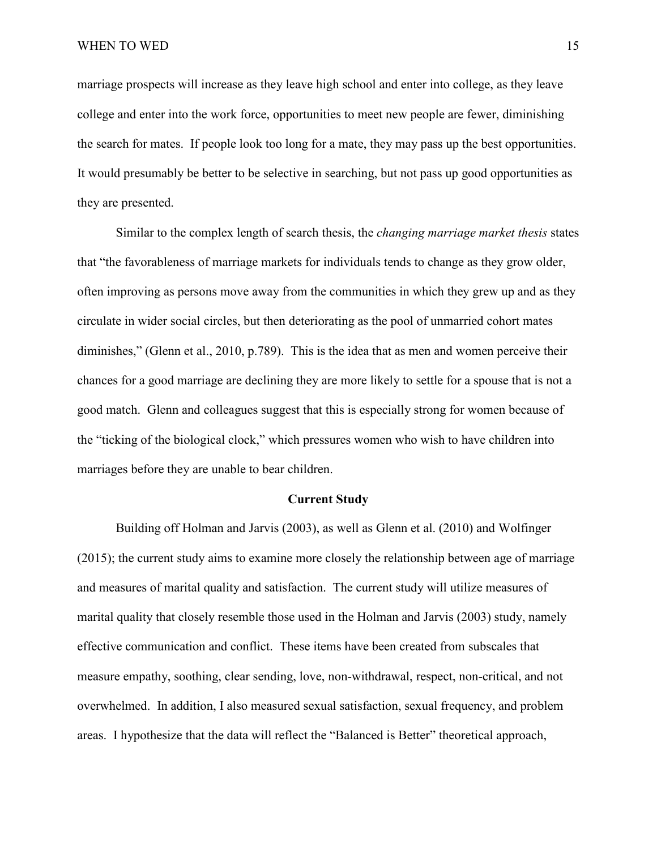marriage prospects will increase as they leave high school and enter into college, as they leave college and enter into the work force, opportunities to meet new people are fewer, diminishing the search for mates. If people look too long for a mate, they may pass up the best opportunities. It would presumably be better to be selective in searching, but not pass up good opportunities as they are presented.

Similar to the complex length of search thesis, the *changing marriage market thesis* states that "the favorableness of marriage markets for individuals tends to change as they grow older, often improving as persons move away from the communities in which they grew up and as they circulate in wider social circles, but then deteriorating as the pool of unmarried cohort mates diminishes," (Glenn et al., 2010, p.789). This is the idea that as men and women perceive their chances for a good marriage are declining they are more likely to settle for a spouse that is not a good match. Glenn and colleagues suggest that this is especially strong for women because of the "ticking of the biological clock," which pressures women who wish to have children into marriages before they are unable to bear children.

#### **Current Study**

<span id="page-21-0"></span>Building off Holman and Jarvis (2003), as well as Glenn et al. (2010) and Wolfinger (2015); the current study aims to examine more closely the relationship between age of marriage and measures of marital quality and satisfaction. The current study will utilize measures of marital quality that closely resemble those used in the Holman and Jarvis (2003) study, namely effective communication and conflict. These items have been created from subscales that measure empathy, soothing, clear sending, love, non-withdrawal, respect, non-critical, and not overwhelmed. In addition, I also measured sexual satisfaction, sexual frequency, and problem areas. I hypothesize that the data will reflect the "Balanced is Better" theoretical approach,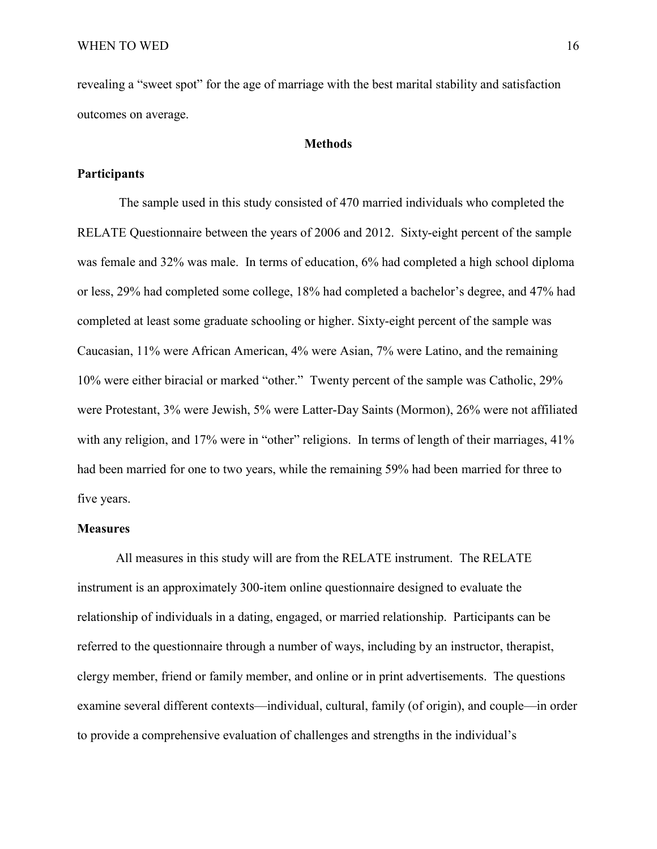revealing a "sweet spot" for the age of marriage with the best marital stability and satisfaction outcomes on average.

## **Methods**

## <span id="page-22-1"></span><span id="page-22-0"></span>**Participants**

The sample used in this study consisted of 470 married individuals who completed the RELATE Questionnaire between the years of 2006 and 2012. Sixty-eight percent of the sample was female and 32% was male. In terms of education, 6% had completed a high school diploma or less, 29% had completed some college, 18% had completed a bachelor's degree, and 47% had completed at least some graduate schooling or higher. Sixty-eight percent of the sample was Caucasian, 11% were African American, 4% were Asian, 7% were Latino, and the remaining 10% were either biracial or marked "other." Twenty percent of the sample was Catholic, 29% were Protestant, 3% were Jewish, 5% were Latter-Day Saints (Mormon), 26% were not affiliated with any religion, and 17% were in "other" religions. In terms of length of their marriages, 41% had been married for one to two years, while the remaining 59% had been married for three to five years.

#### <span id="page-22-2"></span>**Measures**

All measures in this study will are from the RELATE instrument. The RELATE instrument is an approximately 300-item online questionnaire designed to evaluate the relationship of individuals in a dating, engaged, or married relationship. Participants can be referred to the questionnaire through a number of ways, including by an instructor, therapist, clergy member, friend or family member, and online or in print advertisements. The questions examine several different contexts—individual, cultural, family (of origin), and couple—in order to provide a comprehensive evaluation of challenges and strengths in the individual's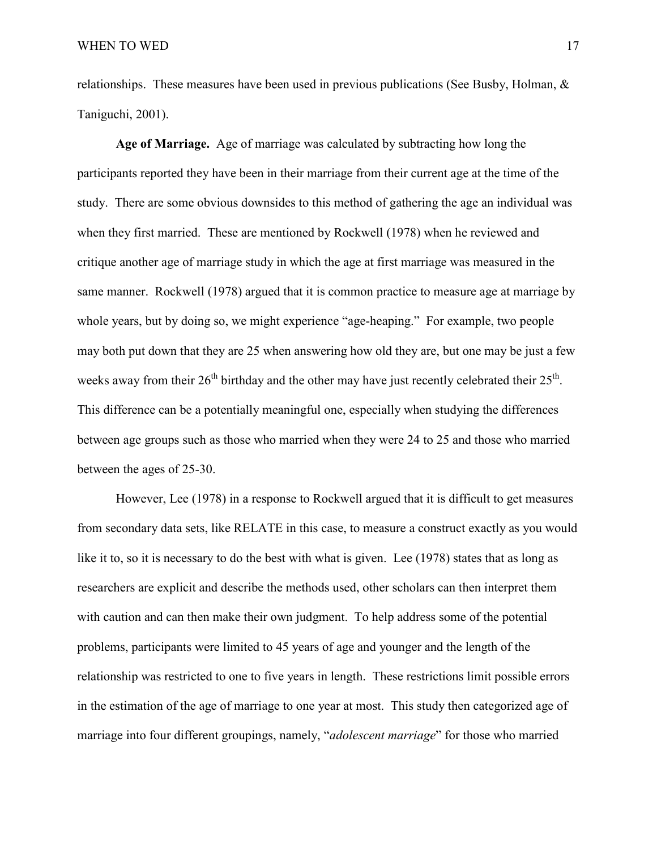relationships. These measures have been used in previous publications (See Busby, Holman, & Taniguchi, 2001).

**Age of Marriage.** Age of marriage was calculated by subtracting how long the participants reported they have been in their marriage from their current age at the time of the study. There are some obvious downsides to this method of gathering the age an individual was when they first married. These are mentioned by Rockwell (1978) when he reviewed and critique another age of marriage study in which the age at first marriage was measured in the same manner. Rockwell (1978) argued that it is common practice to measure age at marriage by whole years, but by doing so, we might experience "age-heaping." For example, two people may both put down that they are 25 when answering how old they are, but one may be just a few weeks away from their  $26<sup>th</sup>$  birthday and the other may have just recently celebrated their  $25<sup>th</sup>$ . This difference can be a potentially meaningful one, especially when studying the differences between age groups such as those who married when they were 24 to 25 and those who married between the ages of 25-30.

However, Lee (1978) in a response to Rockwell argued that it is difficult to get measures from secondary data sets, like RELATE in this case, to measure a construct exactly as you would like it to, so it is necessary to do the best with what is given. Lee (1978) states that as long as researchers are explicit and describe the methods used, other scholars can then interpret them with caution and can then make their own judgment. To help address some of the potential problems, participants were limited to 45 years of age and younger and the length of the relationship was restricted to one to five years in length. These restrictions limit possible errors in the estimation of the age of marriage to one year at most. This study then categorized age of marriage into four different groupings, namely, "*adolescent marriage*" for those who married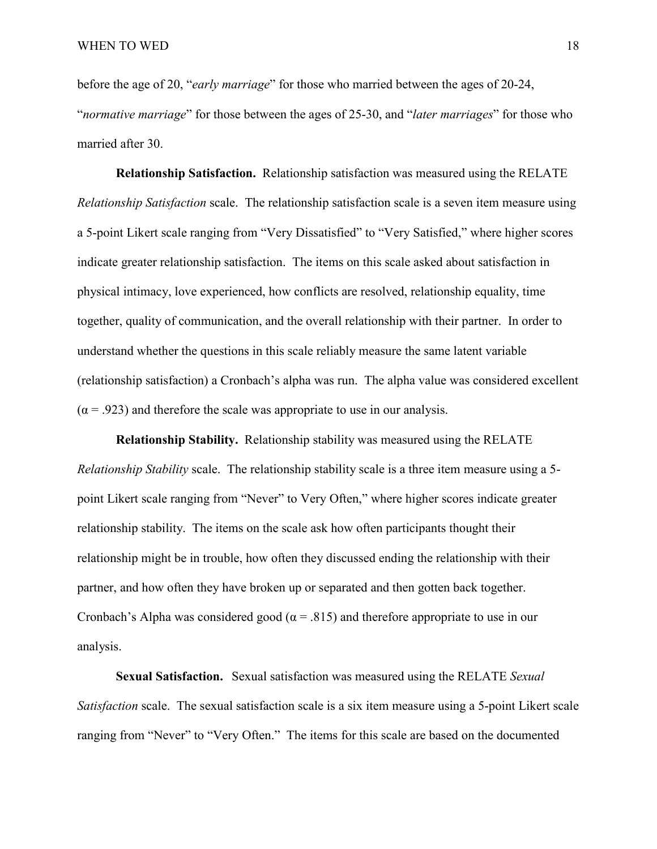before the age of 20, "*early marriage*" for those who married between the ages of 20-24, "*normative marriage*" for those between the ages of 25-30, and "*later marriages*" for those who married after 30.

**Relationship Satisfaction.** Relationship satisfaction was measured using the RELATE *Relationship Satisfaction* scale. The relationship satisfaction scale is a seven item measure using a 5-point Likert scale ranging from "Very Dissatisfied" to "Very Satisfied," where higher scores indicate greater relationship satisfaction. The items on this scale asked about satisfaction in physical intimacy, love experienced, how conflicts are resolved, relationship equality, time together, quality of communication, and the overall relationship with their partner. In order to understand whether the questions in this scale reliably measure the same latent variable (relationship satisfaction) a Cronbach's alpha was run. The alpha value was considered excellent  $(\alpha = .923)$  and therefore the scale was appropriate to use in our analysis.

**Relationship Stability.** Relationship stability was measured using the RELATE *Relationship Stability* scale. The relationship stability scale is a three item measure using a 5 point Likert scale ranging from "Never" to Very Often," where higher scores indicate greater relationship stability. The items on the scale ask how often participants thought their relationship might be in trouble, how often they discussed ending the relationship with their partner, and how often they have broken up or separated and then gotten back together. Cronbach's Alpha was considered good ( $\alpha$  = .815) and therefore appropriate to use in our analysis.

**Sexual Satisfaction.** Sexual satisfaction was measured using the RELATE *Sexual Satisfaction* scale. The sexual satisfaction scale is a six item measure using a 5-point Likert scale ranging from "Never" to "Very Often." The items for this scale are based on the documented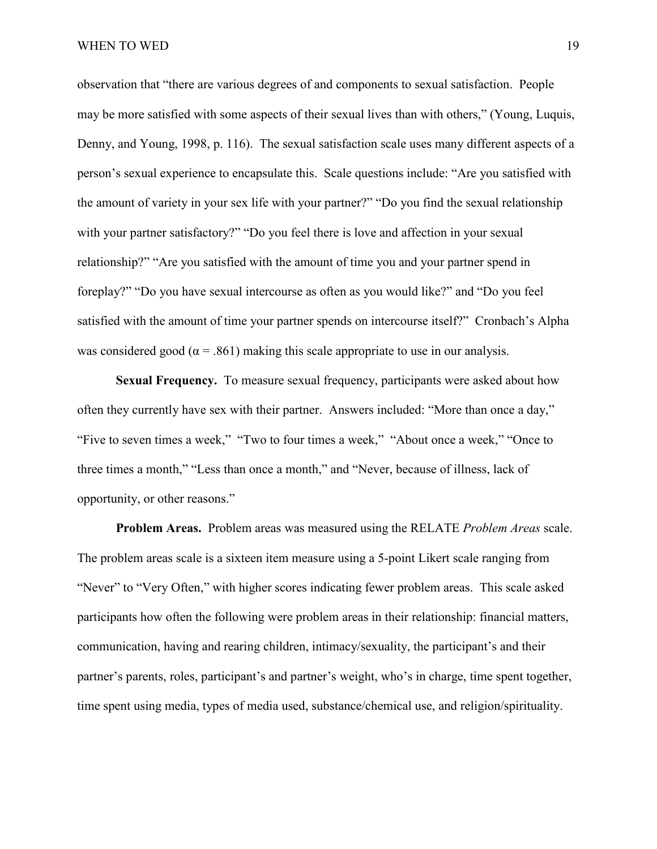observation that "there are various degrees of and components to sexual satisfaction. People may be more satisfied with some aspects of their sexual lives than with others," (Young, Luquis, Denny, and Young, 1998, p. 116). The sexual satisfaction scale uses many different aspects of a person's sexual experience to encapsulate this. Scale questions include: "Are you satisfied with the amount of variety in your sex life with your partner?" "Do you find the sexual relationship with your partner satisfactory?" "Do you feel there is love and affection in your sexual relationship?" "Are you satisfied with the amount of time you and your partner spend in foreplay?" "Do you have sexual intercourse as often as you would like?" and "Do you feel satisfied with the amount of time your partner spends on intercourse itself?" Cronbach's Alpha was considered good ( $\alpha$  = .861) making this scale appropriate to use in our analysis.

**Sexual Frequency.** To measure sexual frequency, participants were asked about how often they currently have sex with their partner. Answers included: "More than once a day," "Five to seven times a week," "Two to four times a week," "About once a week," "Once to three times a month," "Less than once a month," and "Never, because of illness, lack of opportunity, or other reasons."

**Problem Areas.** Problem areas was measured using the RELATE *Problem Areas* scale. The problem areas scale is a sixteen item measure using a 5-point Likert scale ranging from "Never" to "Very Often," with higher scores indicating fewer problem areas. This scale asked participants how often the following were problem areas in their relationship: financial matters, communication, having and rearing children, intimacy/sexuality, the participant's and their partner's parents, roles, participant's and partner's weight, who's in charge, time spent together, time spent using media, types of media used, substance/chemical use, and religion/spirituality.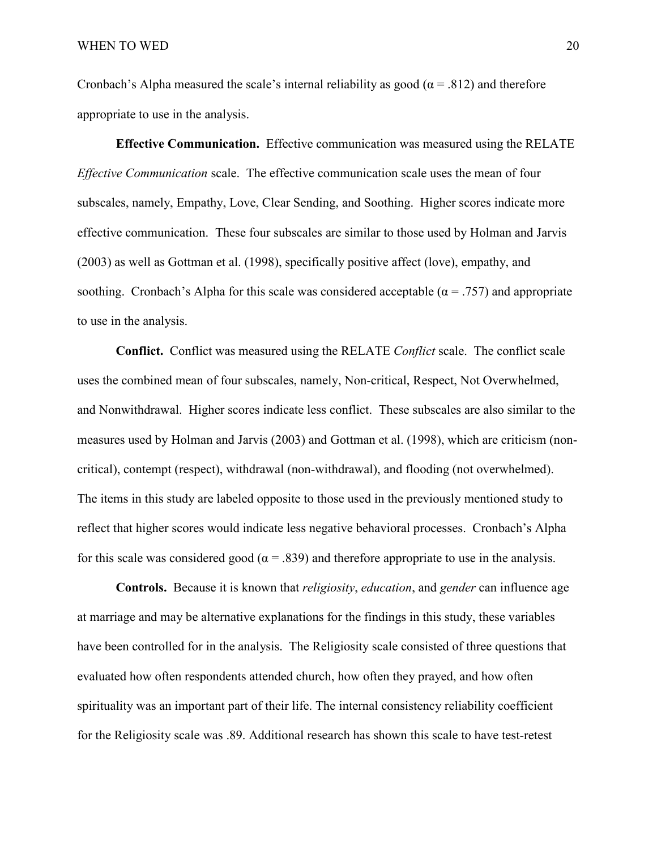Cronbach's Alpha measured the scale's internal reliability as good ( $\alpha$  = .812) and therefore appropriate to use in the analysis.

**Effective Communication.** Effective communication was measured using the RELATE *Effective Communication* scale. The effective communication scale uses the mean of four subscales, namely, Empathy, Love, Clear Sending, and Soothing. Higher scores indicate more effective communication. These four subscales are similar to those used by Holman and Jarvis (2003) as well as Gottman et al. (1998), specifically positive affect (love), empathy, and soothing. Cronbach's Alpha for this scale was considered acceptable ( $\alpha$  = .757) and appropriate to use in the analysis.

**Conflict.** Conflict was measured using the RELATE *Conflict* scale. The conflict scale uses the combined mean of four subscales, namely, Non-critical, Respect, Not Overwhelmed, and Nonwithdrawal. Higher scores indicate less conflict. These subscales are also similar to the measures used by Holman and Jarvis (2003) and Gottman et al. (1998), which are criticism (noncritical), contempt (respect), withdrawal (non-withdrawal), and flooding (not overwhelmed). The items in this study are labeled opposite to those used in the previously mentioned study to reflect that higher scores would indicate less negative behavioral processes. Cronbach's Alpha for this scale was considered good ( $\alpha$  = .839) and therefore appropriate to use in the analysis.

**Controls.** Because it is known that *religiosity*, *education*, and *gender* can influence age at marriage and may be alternative explanations for the findings in this study, these variables have been controlled for in the analysis. The Religiosity scale consisted of three questions that evaluated how often respondents attended church, how often they prayed, and how often spirituality was an important part of their life. The internal consistency reliability coefficient for the Religiosity scale was .89. Additional research has shown this scale to have test-retest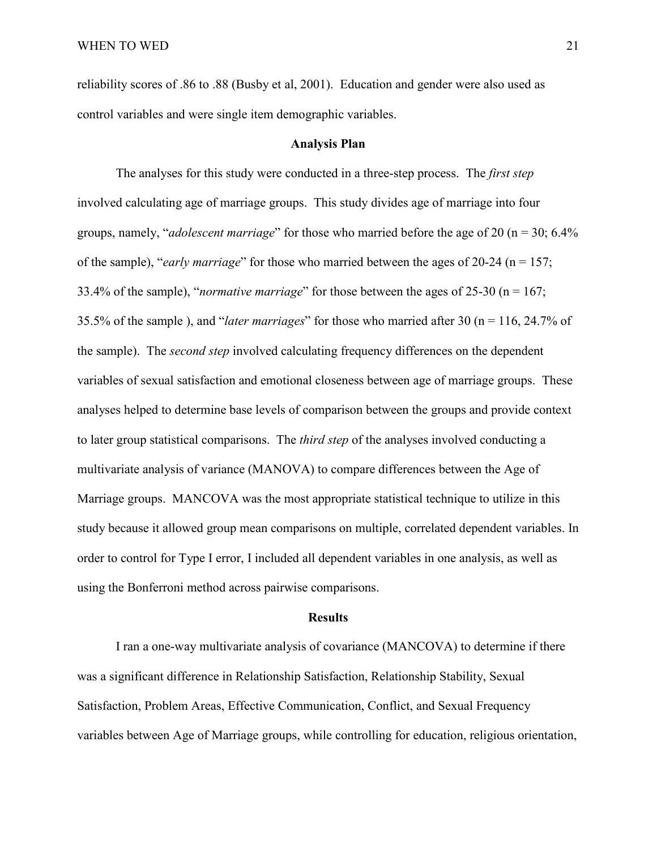reliability scores of .86 to .88 (Busby et al, 2001). Education and gender were also used as control variables and were single item demographic variables.

## **Analysis Plan**

<span id="page-27-0"></span>The analyses for this study were conducted in a three-step process. The *first step* involved calculating age of marriage groups. This study divides age of marriage into four groups, namely, "*adolescent marriage*" for those who married before the age of 20 (n = 30; 6.4% of the sample), "*early marriage*" for those who married between the ages of 20-24 (n = 157; 33.4% of the sample), "*normative marriage*" for those between the ages of 25-30 (n = 167; 35.5% of the sample ), and "*later marriages*" for those who married after 30 (n = 116, 24.7% of the sample). The *second step* involved calculating frequency differences on the dependent variables of sexual satisfaction and emotional closeness between age of marriage groups. These analyses helped to determine base levels of comparison between the groups and provide context to later group statistical comparisons. The *third step* of the analyses involved conducting a multivariate analysis of variance (MANOVA) to compare differences between the Age of Marriage groups. MANCOVA was the most appropriate statistical technique to utilize in this study because it allowed group mean comparisons on multiple, correlated dependent variables. In order to control for Type I error, I included all dependent variables in one analysis, as well as using the Bonferroni method across pairwise comparisons.

#### **Results**

<span id="page-27-1"></span>I ran a one-way multivariate analysis of covariance (MANCOVA) to determine if there was a significant difference in Relationship Satisfaction, Relationship Stability, Sexual Satisfaction, Problem Areas, Effective Communication, Conflict, and Sexual Frequency variables between Age of Marriage groups, while controlling for education, religious orientation,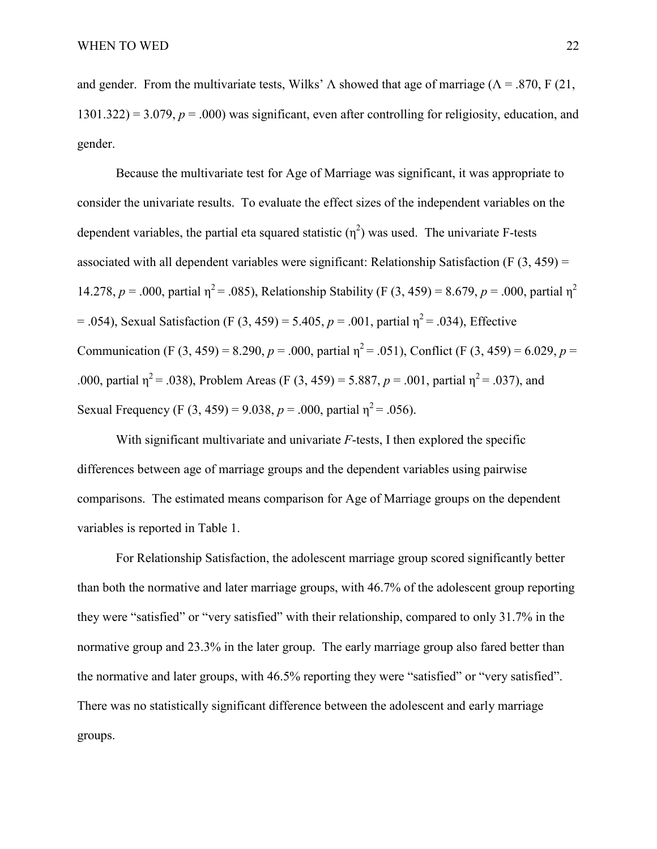and gender. From the multivariate tests, Wilks'  $\Lambda$  showed that age of marriage ( $\Lambda = .870$ , F (21,  $1301.322$ ) = 3.079,  $p = .000$ ) was significant, even after controlling for religiosity, education, and gender.

Because the multivariate test for Age of Marriage was significant, it was appropriate to consider the univariate results. To evaluate the effect sizes of the independent variables on the dependent variables, the partial eta squared statistic  $(\eta^2)$  was used. The univariate F-tests associated with all dependent variables were significant: Relationship Satisfaction (F  $(3, 459)$ ) = 14.278,  $p = .000$ , partial  $\eta^2 = .085$ ), Relationship Stability (F (3, 459) = 8.679,  $p = .000$ , partial  $\eta^2$ = .054), Sexual Satisfaction (F (3, 459) = 5.405,  $p = .001$ , partial  $n^2 = .034$ ), Effective Communication (F (3, 459) = 8.290,  $p = .000$ , partial  $\eta^2 = .051$ ), Conflict (F (3, 459) = 6.029,  $p =$ .000, partial  $\eta^2 = .038$ ), Problem Areas (F (3, 459) = 5.887, *p* = .001, partial  $\eta^2 = .037$ ), and Sexual Frequency (F (3, 459) = 9.038,  $p = .000$ , partial  $\eta^2 = .056$ ).

With significant multivariate and univariate *F*-tests, I then explored the specific differences between age of marriage groups and the dependent variables using pairwise comparisons. The estimated means comparison for Age of Marriage groups on the dependent variables is reported in Table 1.

For Relationship Satisfaction, the adolescent marriage group scored significantly better than both the normative and later marriage groups, with 46.7% of the adolescent group reporting they were "satisfied" or "very satisfied" with their relationship, compared to only 31.7% in the normative group and 23.3% in the later group. The early marriage group also fared better than the normative and later groups, with 46.5% reporting they were "satisfied" or "very satisfied". There was no statistically significant difference between the adolescent and early marriage groups.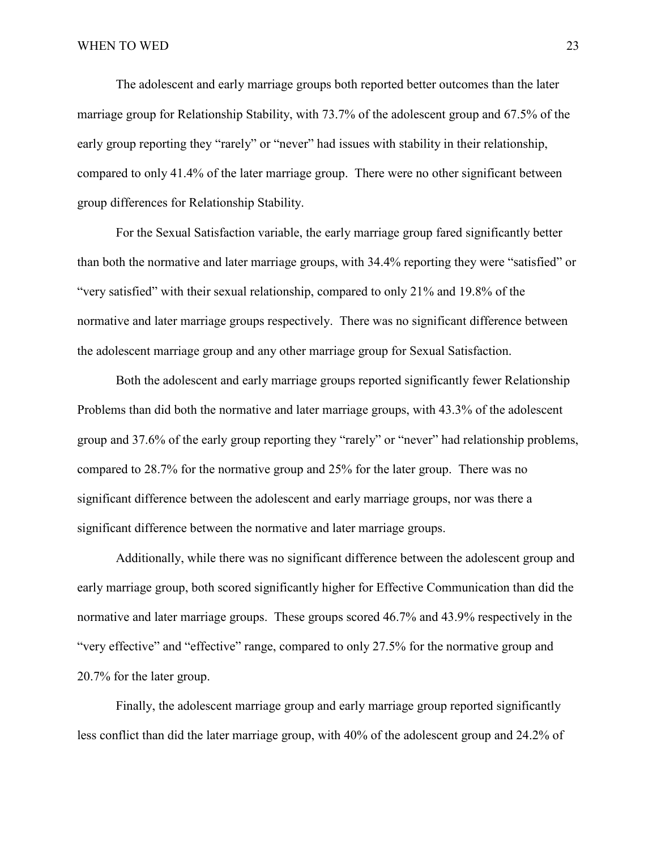The adolescent and early marriage groups both reported better outcomes than the later marriage group for Relationship Stability, with 73.7% of the adolescent group and 67.5% of the early group reporting they "rarely" or "never" had issues with stability in their relationship, compared to only 41.4% of the later marriage group. There were no other significant between group differences for Relationship Stability.

For the Sexual Satisfaction variable, the early marriage group fared significantly better than both the normative and later marriage groups, with 34.4% reporting they were "satisfied" or "very satisfied" with their sexual relationship, compared to only 21% and 19.8% of the normative and later marriage groups respectively. There was no significant difference between the adolescent marriage group and any other marriage group for Sexual Satisfaction.

Both the adolescent and early marriage groups reported significantly fewer Relationship Problems than did both the normative and later marriage groups, with 43.3% of the adolescent group and 37.6% of the early group reporting they "rarely" or "never" had relationship problems, compared to 28.7% for the normative group and 25% for the later group. There was no significant difference between the adolescent and early marriage groups, nor was there a significant difference between the normative and later marriage groups.

Additionally, while there was no significant difference between the adolescent group and early marriage group, both scored significantly higher for Effective Communication than did the normative and later marriage groups. These groups scored 46.7% and 43.9% respectively in the "very effective" and "effective" range, compared to only 27.5% for the normative group and 20.7% for the later group.

Finally, the adolescent marriage group and early marriage group reported significantly less conflict than did the later marriage group, with 40% of the adolescent group and 24.2% of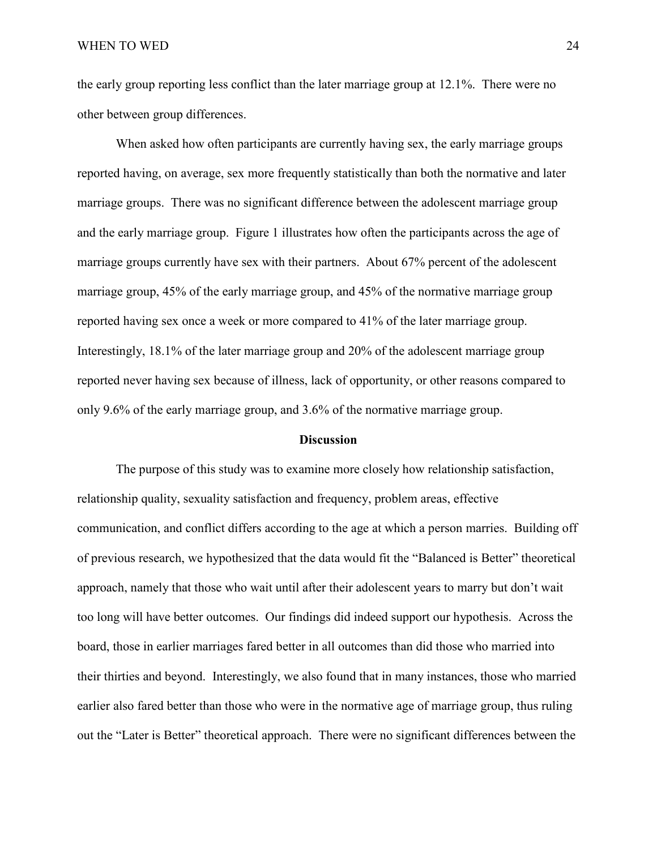the early group reporting less conflict than the later marriage group at 12.1%. There were no other between group differences.

When asked how often participants are currently having sex, the early marriage groups reported having, on average, sex more frequently statistically than both the normative and later marriage groups. There was no significant difference between the adolescent marriage group and the early marriage group. Figure 1 illustrates how often the participants across the age of marriage groups currently have sex with their partners. About 67% percent of the adolescent marriage group, 45% of the early marriage group, and 45% of the normative marriage group reported having sex once a week or more compared to 41% of the later marriage group. Interestingly, 18.1% of the later marriage group and 20% of the adolescent marriage group reported never having sex because of illness, lack of opportunity, or other reasons compared to only 9.6% of the early marriage group, and 3.6% of the normative marriage group.

#### **Discussion**

<span id="page-30-0"></span>The purpose of this study was to examine more closely how relationship satisfaction, relationship quality, sexuality satisfaction and frequency, problem areas, effective communication, and conflict differs according to the age at which a person marries. Building off of previous research, we hypothesized that the data would fit the "Balanced is Better" theoretical approach, namely that those who wait until after their adolescent years to marry but don't wait too long will have better outcomes. Our findings did indeed support our hypothesis. Across the board, those in earlier marriages fared better in all outcomes than did those who married into their thirties and beyond. Interestingly, we also found that in many instances, those who married earlier also fared better than those who were in the normative age of marriage group, thus ruling out the "Later is Better" theoretical approach. There were no significant differences between the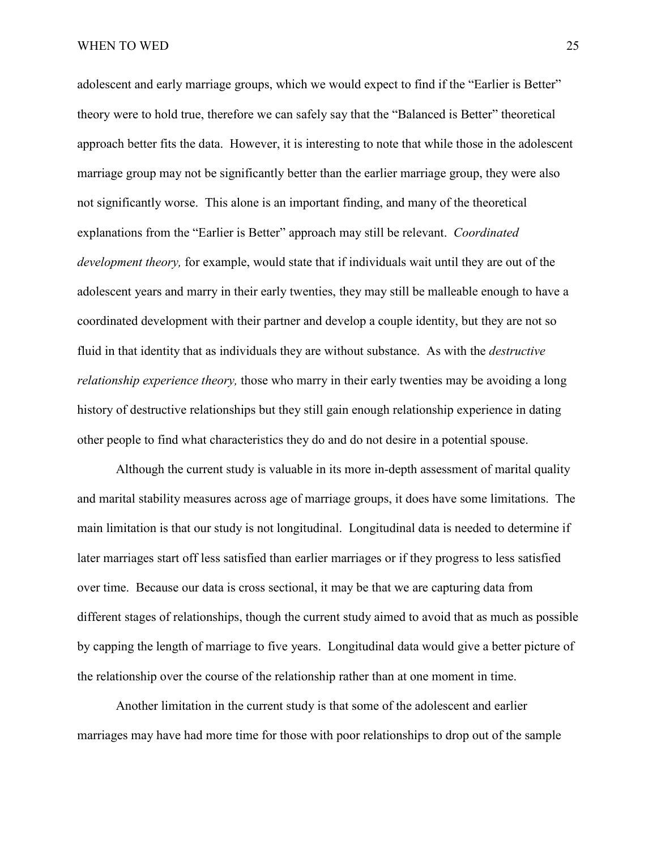WHEN TO WED 25

adolescent and early marriage groups, which we would expect to find if the "Earlier is Better" theory were to hold true, therefore we can safely say that the "Balanced is Better" theoretical approach better fits the data. However, it is interesting to note that while those in the adolescent marriage group may not be significantly better than the earlier marriage group, they were also not significantly worse. This alone is an important finding, and many of the theoretical explanations from the "Earlier is Better" approach may still be relevant. *Coordinated development theory,* for example, would state that if individuals wait until they are out of the adolescent years and marry in their early twenties, they may still be malleable enough to have a coordinated development with their partner and develop a couple identity, but they are not so fluid in that identity that as individuals they are without substance. As with the *destructive relationship experience theory,* those who marry in their early twenties may be avoiding a long history of destructive relationships but they still gain enough relationship experience in dating other people to find what characteristics they do and do not desire in a potential spouse.

Although the current study is valuable in its more in-depth assessment of marital quality and marital stability measures across age of marriage groups, it does have some limitations. The main limitation is that our study is not longitudinal. Longitudinal data is needed to determine if later marriages start off less satisfied than earlier marriages or if they progress to less satisfied over time. Because our data is cross sectional, it may be that we are capturing data from different stages of relationships, though the current study aimed to avoid that as much as possible by capping the length of marriage to five years. Longitudinal data would give a better picture of the relationship over the course of the relationship rather than at one moment in time.

Another limitation in the current study is that some of the adolescent and earlier marriages may have had more time for those with poor relationships to drop out of the sample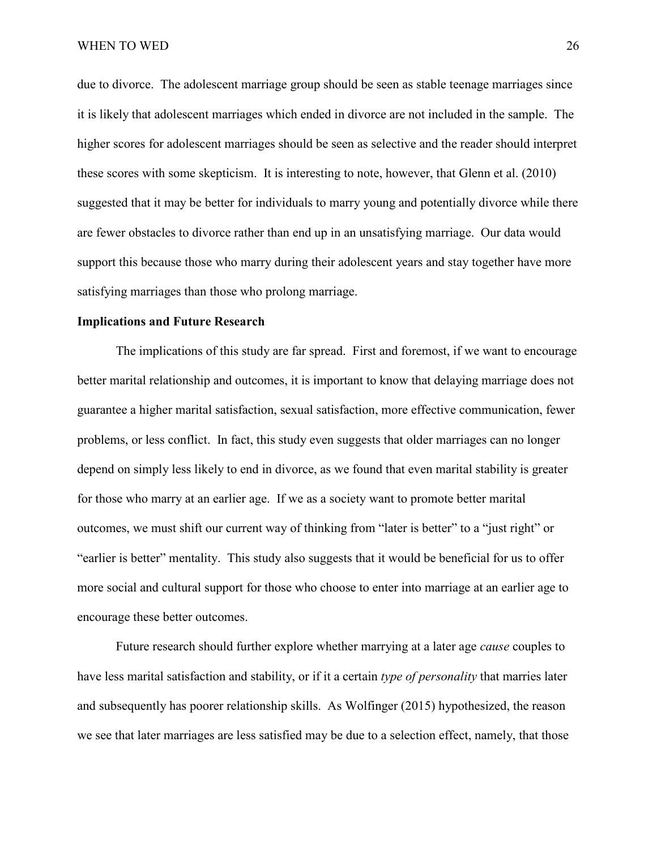due to divorce. The adolescent marriage group should be seen as stable teenage marriages since it is likely that adolescent marriages which ended in divorce are not included in the sample. The higher scores for adolescent marriages should be seen as selective and the reader should interpret these scores with some skepticism. It is interesting to note, however, that Glenn et al. (2010) suggested that it may be better for individuals to marry young and potentially divorce while there are fewer obstacles to divorce rather than end up in an unsatisfying marriage. Our data would support this because those who marry during their adolescent years and stay together have more satisfying marriages than those who prolong marriage.

# <span id="page-32-0"></span>**Implications and Future Research**

The implications of this study are far spread. First and foremost, if we want to encourage better marital relationship and outcomes, it is important to know that delaying marriage does not guarantee a higher marital satisfaction, sexual satisfaction, more effective communication, fewer problems, or less conflict. In fact, this study even suggests that older marriages can no longer depend on simply less likely to end in divorce, as we found that even marital stability is greater for those who marry at an earlier age. If we as a society want to promote better marital outcomes, we must shift our current way of thinking from "later is better" to a "just right" or "earlier is better" mentality. This study also suggests that it would be beneficial for us to offer more social and cultural support for those who choose to enter into marriage at an earlier age to encourage these better outcomes.

Future research should further explore whether marrying at a later age *cause* couples to have less marital satisfaction and stability, or if it a certain *type of personality* that marries later and subsequently has poorer relationship skills. As Wolfinger (2015) hypothesized, the reason we see that later marriages are less satisfied may be due to a selection effect, namely, that those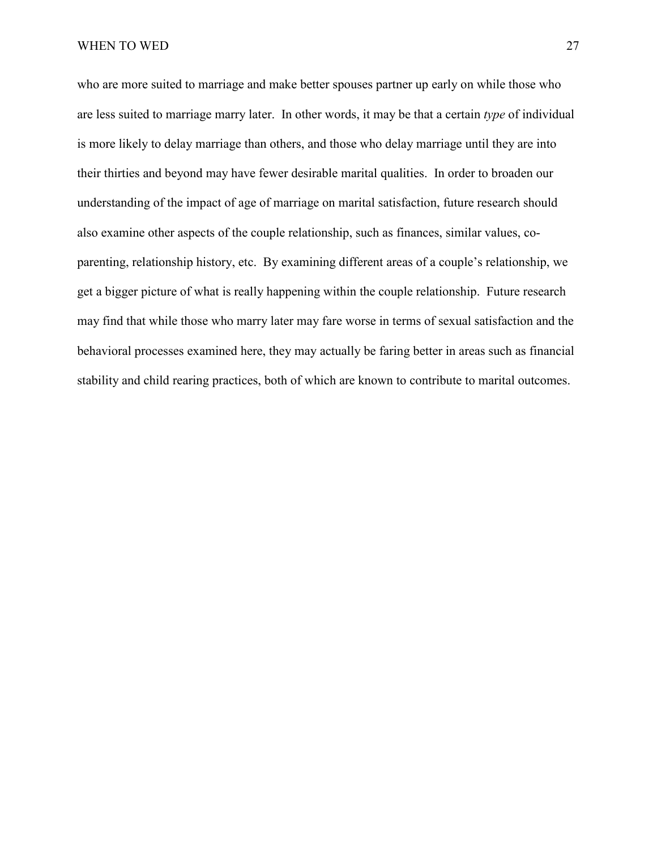who are more suited to marriage and make better spouses partner up early on while those who are less suited to marriage marry later. In other words, it may be that a certain *type* of individual is more likely to delay marriage than others, and those who delay marriage until they are into their thirties and beyond may have fewer desirable marital qualities. In order to broaden our understanding of the impact of age of marriage on marital satisfaction, future research should also examine other aspects of the couple relationship, such as finances, similar values, coparenting, relationship history, etc. By examining different areas of a couple's relationship, we get a bigger picture of what is really happening within the couple relationship. Future research may find that while those who marry later may fare worse in terms of sexual satisfaction and the behavioral processes examined here, they may actually be faring better in areas such as financial stability and child rearing practices, both of which are known to contribute to marital outcomes.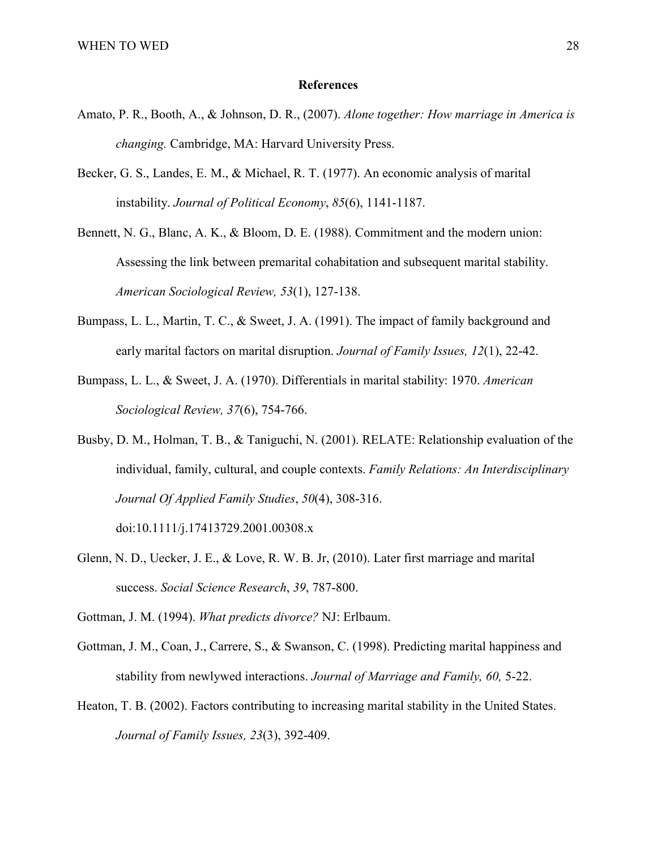#### **References**

- <span id="page-34-0"></span>Amato, P. R., Booth, A., & Johnson, D. R., (2007). *Alone together: How marriage in America is changing.* Cambridge, MA: Harvard University Press.
- Becker, G. S., Landes, E. M., & Michael, R. T. (1977). An economic analysis of marital instability. *Journal of Political Economy*, *85*(6), 1141-1187.
- Bennett, N. G., Blanc, A. K., & Bloom, D. E. (1988). Commitment and the modern union: Assessing the link between premarital cohabitation and subsequent marital stability. *American Sociological Review, 53*(1), 127-138.
- Bumpass, L. L., Martin, T. C., & Sweet, J. A. (1991). The impact of family background and early marital factors on marital disruption. *Journal of Family Issues, 12*(1), 22-42.
- Bumpass, L. L., & Sweet, J. A. (1970). Differentials in marital stability: 1970. *American Sociological Review, 37*(6), 754-766.
- Busby, D. M., Holman, T. B., & Taniguchi, N. (2001). RELATE: Relationship evaluation of the individual, family, cultural, and couple contexts. *Family Relations: An Interdisciplinary Journal Of Applied Family Studies*, *50*(4), 308-316.

doi:10.1111/j.17413729.2001.00308.x

Glenn, N. D., Uecker, J. E., & Love, R. W. B. Jr, (2010). Later first marriage and marital success. *Social Science Research*, *39*, 787-800.

Gottman, J. M. (1994). *What predicts divorce?* NJ: Erlbaum.

- Gottman, J. M., Coan, J., Carrere, S., & Swanson, C. (1998). Predicting marital happiness and stability from newlywed interactions. *Journal of Marriage and Family, 60,* 5-22.
- Heaton, T. B. (2002). Factors contributing to increasing marital stability in the United States. *Journal of Family Issues, 23*(3), 392-409.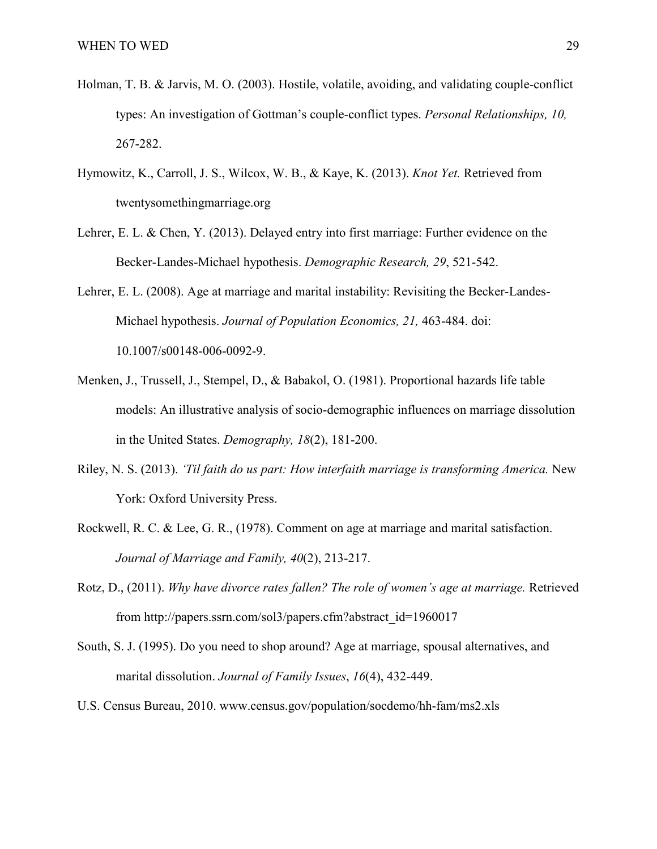- Holman, T. B. & Jarvis, M. O. (2003). Hostile, volatile, avoiding, and validating couple-conflict types: An investigation of Gottman's couple-conflict types. *Personal Relationships, 10,*  267-282.
- Hymowitz, K., Carroll, J. S., Wilcox, W. B., & Kaye, K. (2013). *Knot Yet.* Retrieved from twentysomethingmarriage.org
- Lehrer, E. L. & Chen, Y. (2013). Delayed entry into first marriage: Further evidence on the Becker-Landes-Michael hypothesis. *Demographic Research, 29*, 521-542.
- Lehrer, E. L. (2008). Age at marriage and marital instability: Revisiting the Becker-Landes-Michael hypothesis. *Journal of Population Economics, 21,* 463-484. doi: 10.1007/s00148-006-0092-9.
- Menken, J., Trussell, J., Stempel, D., & Babakol, O. (1981). Proportional hazards life table models: An illustrative analysis of socio-demographic influences on marriage dissolution in the United States. *Demography, 18*(2), 181-200.
- Riley, N. S. (2013). *'Til faith do us part: How interfaith marriage is transforming America.* New York: Oxford University Press.
- Rockwell, R. C. & Lee, G. R., (1978). Comment on age at marriage and marital satisfaction. *Journal of Marriage and Family, 40*(2), 213-217.
- Rotz, D., (2011). *Why have divorce rates fallen? The role of women's age at marriage.* Retrieved from http://papers.ssrn.com/sol3/papers.cfm?abstract\_id=1960017
- South, S. J. (1995). Do you need to shop around? Age at marriage, spousal alternatives, and marital dissolution. *Journal of Family Issues*, *16*(4), 432-449.
- U.S. Census Bureau, 2010. www.census.gov/population/socdemo/hh-fam/ms2.xls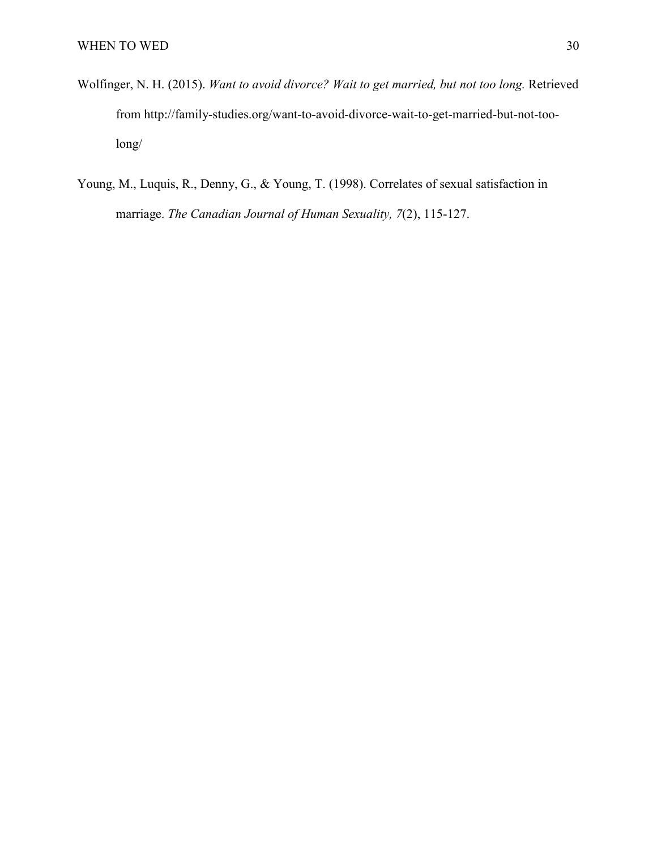- Wolfinger, N. H. (2015). *Want to avoid divorce? Wait to get married, but not too long.* Retrieved from http://family-studies.org/want-to-avoid-divorce-wait-to-get-married-but-not-toolong/
- Young, M., Luquis, R., Denny, G., & Young, T. (1998). Correlates of sexual satisfaction in marriage. *The Canadian Journal of Human Sexuality, 7*(2), 115-127.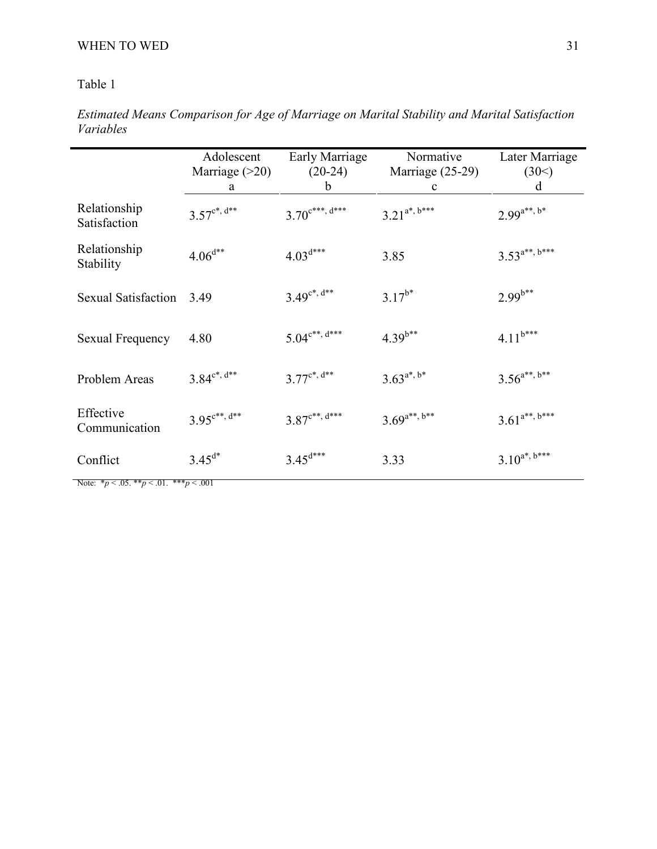# <span id="page-37-0"></span>Table 1

j,

|                              | Adolescent<br>Marriage $(>20)$<br>a | <b>Early Marriage</b><br>$(20-24)$<br>b   | Normative<br>Marriage (25-29)<br>$\mathbf c$ | Later Marriage<br>(30<)<br>d |
|------------------------------|-------------------------------------|-------------------------------------------|----------------------------------------------|------------------------------|
| Relationship<br>Satisfaction | $3.57^{c^*, d^{**}}$                | $3.70^{c***, d***}$                       | $3.21^{a^*,b^{***}}$                         | $2.99^{a**}, b*$             |
| Relationship<br>Stability    | $4.06^{d**}$                        | $4.03^{d***}$                             | 3.85                                         | $3.53^{a**}, b***$           |
| <b>Sexual Satisfaction</b>   | 3.49                                | $3.49^{\text{c}^*,\,d^{**}}$              | $3.17^{b*}$                                  | $2.99^{b**}$                 |
| Sexual Frequency             | 4.80                                | $5.04^{\mathrm{c}^{**},\mathrm{d}^{***}}$ | $4.39^{b**}$                                 | $4.11^{b***}$                |
| Problem Areas                | $3.84^{\circ *}, d^{**}$            | $3.77^{c^*, d^{**}}$                      | $3.63^{a^*}, b^*$                            | $3.56^{a**}, b**$            |
| Effective<br>Communication   | $3.95^{c**}, d^{**}$                | $3.87^{c**}, d***$                        | $3.69^{a**}, b**$                            | $3.61^{a**}, b***$           |
| Conflict                     | $3.45^{d*}$                         | $3.45^{d***}$                             | 3.33                                         | $3.10^{a^*,b^{***}}$         |

*Estimated Means Comparison for Age of Marriage on Marital Stability and Marital Satisfaction Variables*

Note:  $*_{p} < .05. **_{p} < .01. ***_{p} < .001$